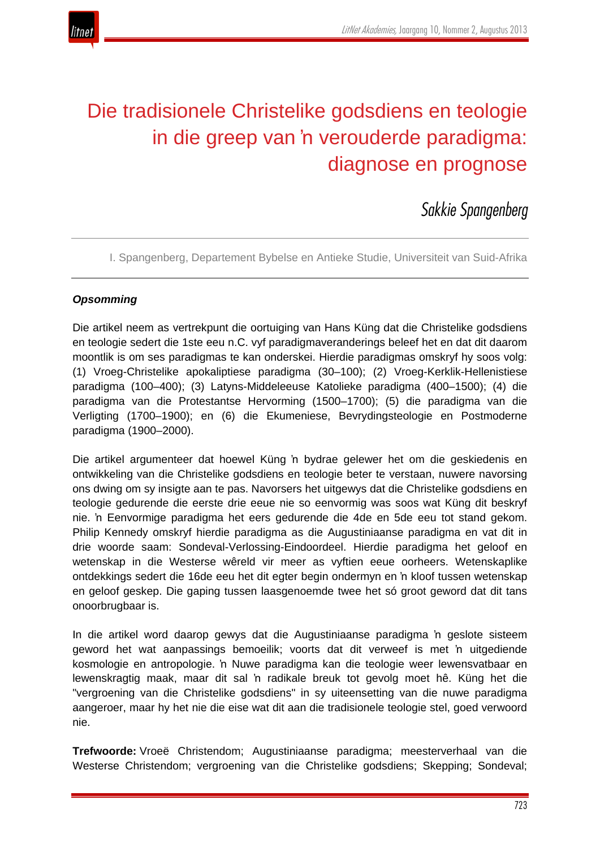

# Die tradisionele Christelike godsdiens en teologie in die greep van 'n verouderde paradigma: diagnose en prognose

*Sakkie Spangenberg*

I. Spangenberg, Departement Bybelse en Antieke Studie, Universiteit van Suid-Afrika

# *Opsomming*

Die artikel neem as vertrekpunt die oortuiging van Hans Küng dat die Christelike godsdiens en teologie sedert die 1ste eeu n.C. vyf paradigmaveranderings beleef het en dat dit daarom moontlik is om ses paradigmas te kan onderskei. Hierdie paradigmas omskryf hy soos volg: (1) Vroeg-Christelike apokaliptiese paradigma (30–100); (2) Vroeg-Kerklik-Hellenistiese paradigma (100–400); (3) Latyns-Middeleeuse Katolieke paradigma (400–1500); (4) die paradigma van die Protestantse Hervorming (1500–1700); (5) die paradigma van die Verligting (1700–1900); en (6) die Ekumeniese, Bevrydingsteologie en Postmoderne paradigma (1900–2000).

Die artikel argumenteer dat hoewel Küng 'n bydrae gelewer het om die geskiedenis en ontwikkeling van die Christelike godsdiens en teologie beter te verstaan, nuwere navorsing ons dwing om sy insigte aan te pas. Navorsers het uitgewys dat die Christelike godsdiens en teologie gedurende die eerste drie eeue nie so eenvormig was soos wat Küng dit beskryf nie. 'n Eenvormige paradigma het eers gedurende die 4de en 5de eeu tot stand gekom. Philip Kennedy omskryf hierdie paradigma as die Augustiniaanse paradigma en vat dit in drie woorde saam: Sondeval-Verlossing-Eindoordeel. Hierdie paradigma het geloof en wetenskap in die Westerse wêreld vir meer as vyftien eeue oorheers. Wetenskaplike ontdekkings sedert die 16de eeu het dit egter begin ondermyn en 'n kloof tussen wetenskap en geloof geskep. Die gaping tussen laasgenoemde twee het só groot geword dat dit tans onoorbrugbaar is.

In die artikel word daarop gewys dat die Augustiniaanse paradigma 'n geslote sisteem geword het wat aanpassings bemoeilik; voorts dat dit verweef is met 'n uitgediende kosmologie en antropologie. 'n Nuwe paradigma kan die teologie weer lewensvatbaar en lewenskragtig maak, maar dit sal 'n radikale breuk tot gevolg moet hê. Küng het die "vergroening van die Christelike godsdiens" in sy uiteensetting van die nuwe paradigma aangeroer, maar hy het nie die eise wat dit aan die tradisionele teologie stel, goed verwoord nie.

**Trefwoorde:** Vroeë Christendom; Augustiniaanse paradigma; meesterverhaal van die Westerse Christendom; vergroening van die Christelike godsdiens; Skepping; Sondeval;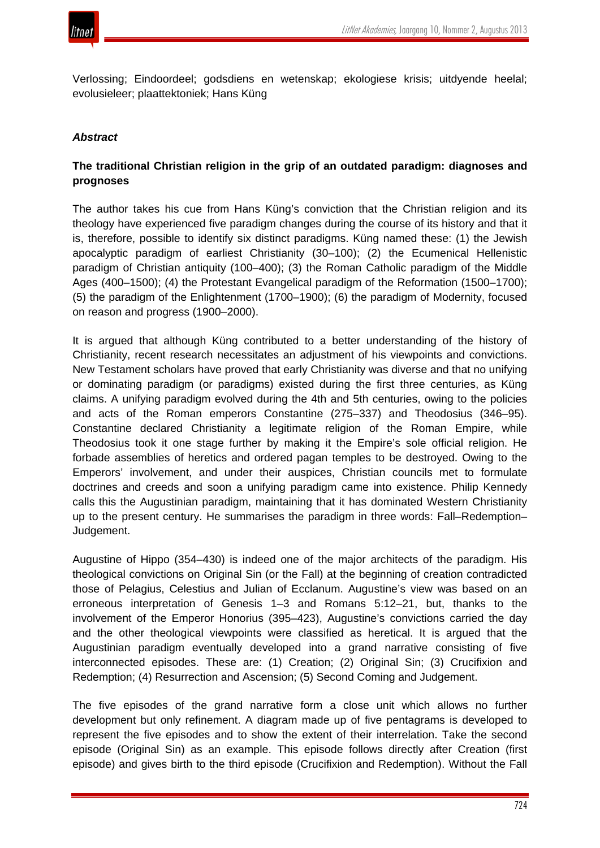

Verlossing; Eindoordeel; godsdiens en wetenskap; ekologiese krisis; uitdyende heelal; evolusieleer; plaattektoniek; Hans Küng

#### *Abstract*

## **The traditional Christian religion in the grip of an outdated paradigm: diagnoses and prognoses**

The author takes his cue from Hans Küng's conviction that the Christian religion and its theology have experienced five paradigm changes during the course of its history and that it is, therefore, possible to identify six distinct paradigms. Küng named these: (1) the Jewish apocalyptic paradigm of earliest Christianity (30–100); (2) the Ecumenical Hellenistic paradigm of Christian antiquity (100–400); (3) the Roman Catholic paradigm of the Middle Ages (400–1500); (4) the Protestant Evangelical paradigm of the Reformation (1500–1700); (5) the paradigm of the Enlightenment (1700–1900); (6) the paradigm of Modernity, focused on reason and progress (1900–2000).

It is argued that although Küng contributed to a better understanding of the history of Christianity, recent research necessitates an adjustment of his viewpoints and convictions. New Testament scholars have proved that early Christianity was diverse and that no unifying or dominating paradigm (or paradigms) existed during the first three centuries, as Küng claims. A unifying paradigm evolved during the 4th and 5th centuries, owing to the policies and acts of the Roman emperors Constantine (275–337) and Theodosius (346–95). Constantine declared Christianity a legitimate religion of the Roman Empire, while Theodosius took it one stage further by making it the Empire's sole official religion. He forbade assemblies of heretics and ordered pagan temples to be destroyed. Owing to the Emperors' involvement, and under their auspices, Christian councils met to formulate doctrines and creeds and soon a unifying paradigm came into existence. Philip Kennedy calls this the Augustinian paradigm, maintaining that it has dominated Western Christianity up to the present century. He summarises the paradigm in three words: Fall–Redemption– Judgement.

Augustine of Hippo (354–430) is indeed one of the major architects of the paradigm. His theological convictions on Original Sin (or the Fall) at the beginning of creation contradicted those of Pelagius, Celestius and Julian of Ecclanum. Augustine's view was based on an erroneous interpretation of Genesis 1–3 and Romans 5:12–21, but, thanks to the involvement of the Emperor Honorius (395–423), Augustine's convictions carried the day and the other theological viewpoints were classified as heretical. It is argued that the Augustinian paradigm eventually developed into a grand narrative consisting of five interconnected episodes. These are: (1) Creation; (2) Original Sin; (3) Crucifixion and Redemption; (4) Resurrection and Ascension; (5) Second Coming and Judgement.

The five episodes of the grand narrative form a close unit which allows no further development but only refinement. A diagram made up of five pentagrams is developed to represent the five episodes and to show the extent of their interrelation. Take the second episode (Original Sin) as an example. This episode follows directly after Creation (first episode) and gives birth to the third episode (Crucifixion and Redemption). Without the Fall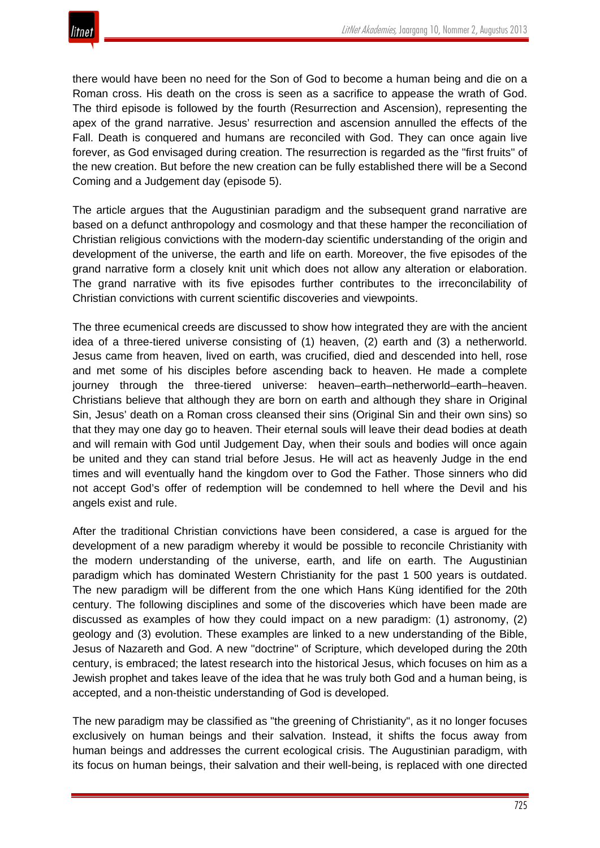there would have been no need for the Son of God to become a human being and die on a Roman cross. His death on the cross is seen as a sacrifice to appease the wrath of God. The third episode is followed by the fourth (Resurrection and Ascension), representing the apex of the grand narrative. Jesus' resurrection and ascension annulled the effects of the Fall. Death is conquered and humans are reconciled with God. They can once again live forever, as God envisaged during creation. The resurrection is regarded as the "first fruits" of the new creation. But before the new creation can be fully established there will be a Second Coming and a Judgement day (episode 5).

The article argues that the Augustinian paradigm and the subsequent grand narrative are based on a defunct anthropology and cosmology and that these hamper the reconciliation of Christian religious convictions with the modern-day scientific understanding of the origin and development of the universe, the earth and life on earth. Moreover, the five episodes of the grand narrative form a closely knit unit which does not allow any alteration or elaboration. The grand narrative with its five episodes further contributes to the irreconcilability of Christian convictions with current scientific discoveries and viewpoints.

The three ecumenical creeds are discussed to show how integrated they are with the ancient idea of a three-tiered universe consisting of (1) heaven, (2) earth and (3) a netherworld. Jesus came from heaven, lived on earth, was crucified, died and descended into hell, rose and met some of his disciples before ascending back to heaven. He made a complete journey through the three-tiered universe: heaven–earth–netherworld–earth–heaven. Christians believe that although they are born on earth and although they share in Original Sin, Jesus' death on a Roman cross cleansed their sins (Original Sin and their own sins) so that they may one day go to heaven. Their eternal souls will leave their dead bodies at death and will remain with God until Judgement Day, when their souls and bodies will once again be united and they can stand trial before Jesus. He will act as heavenly Judge in the end times and will eventually hand the kingdom over to God the Father. Those sinners who did not accept God's offer of redemption will be condemned to hell where the Devil and his angels exist and rule.

After the traditional Christian convictions have been considered, a case is argued for the development of a new paradigm whereby it would be possible to reconcile Christianity with the modern understanding of the universe, earth, and life on earth. The Augustinian paradigm which has dominated Western Christianity for the past 1 500 years is outdated. The new paradigm will be different from the one which Hans Küng identified for the 20th century. The following disciplines and some of the discoveries which have been made are discussed as examples of how they could impact on a new paradigm: (1) astronomy, (2) geology and (3) evolution. These examples are linked to a new understanding of the Bible, Jesus of Nazareth and God. A new "doctrine" of Scripture, which developed during the 20th century, is embraced; the latest research into the historical Jesus, which focuses on him as a Jewish prophet and takes leave of the idea that he was truly both God and a human being, is accepted, and a non-theistic understanding of God is developed.

The new paradigm may be classified as "the greening of Christianity", as it no longer focuses exclusively on human beings and their salvation. Instead, it shifts the focus away from human beings and addresses the current ecological crisis. The Augustinian paradigm, with its focus on human beings, their salvation and their well-being, is replaced with one directed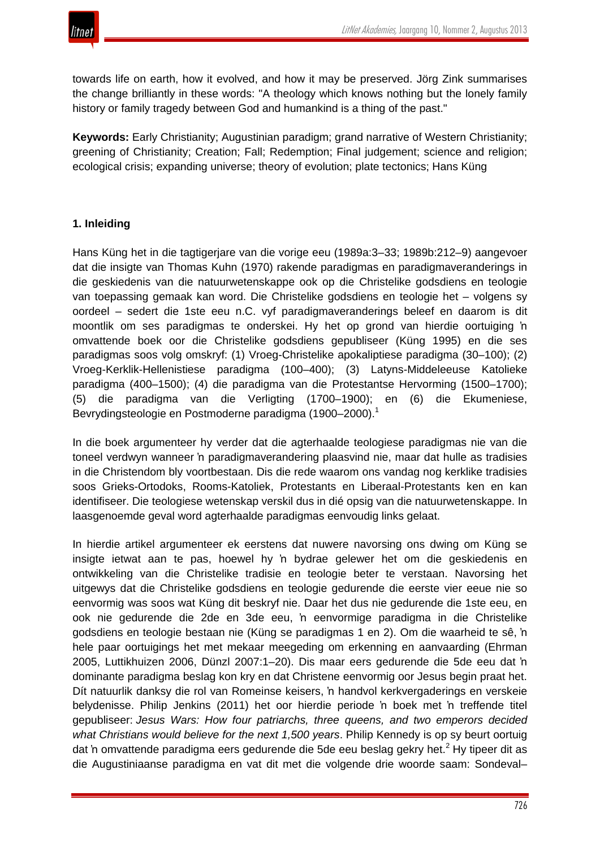towards life on earth, how it evolved, and how it may be preserved. Jörg Zink summarises the change brilliantly in these words: "A theology which knows nothing but the lonely family history or family tragedy between God and humankind is a thing of the past."

**Keywords:** Early Christianity; Augustinian paradigm; grand narrative of Western Christianity; greening of Christianity; Creation; Fall; Redemption; Final judgement; science and religion; ecological crisis; expanding universe; theory of evolution; plate tectonics; Hans Küng

# **1. Inleiding**

Hans Küng het in die tagtigerjare van die vorige eeu (1989a:3–33; 1989b:212–9) aangevoer dat die insigte van Thomas Kuhn (1970) rakende paradigmas en paradigmaveranderings in die geskiedenis van die natuurwetenskappe ook op die Christelike godsdiens en teologie van toepassing gemaak kan word. Die Christelike godsdiens en teologie het – volgens sy oordeel – sedert die 1ste eeu n.C. vyf paradigmaveranderings beleef en daarom is dit moontlik om ses paradigmas te onderskei. Hy het op grond van hierdie oortuiging 'n omvattende boek oor die Christelike godsdiens gepubliseer (Küng 1995) en die ses paradigmas soos volg omskryf: (1) Vroeg-Christelike apokaliptiese paradigma (30–100); (2) Vroeg-Kerklik-Hellenistiese paradigma (100–400); (3) Latyns-Middeleeuse Katolieke paradigma (400–1500); (4) die paradigma van die Protestantse Hervorming (1500–1700); (5) die paradigma van die Verligting (1700–1900); en (6) die Ekumeniese, Bevrydingsteologie en Postmoderne paradigma (1900–2000).<sup>1</sup>

In die boek argumenteer hy verder dat die agterhaalde teologiese paradigmas nie van die toneel verdwyn wanneer 'n paradigmaverandering plaasvind nie, maar dat hulle as tradisies in die Christendom bly voortbestaan. Dis die rede waarom ons vandag nog kerklike tradisies soos Grieks-Ortodoks, Rooms-Katoliek, Protestants en Liberaal-Protestants ken en kan identifiseer. Die teologiese wetenskap verskil dus in dié opsig van die natuurwetenskappe. In laasgenoemde geval word agterhaalde paradigmas eenvoudig links gelaat.

In hierdie artikel argumenteer ek eerstens dat nuwere navorsing ons dwing om Küng se insigte ietwat aan te pas, hoewel hy 'n bydrae gelewer het om die geskiedenis en ontwikkeling van die Christelike tradisie en teologie beter te verstaan. Navorsing het uitgewys dat die Christelike godsdiens en teologie gedurende die eerste vier eeue nie so eenvormig was soos wat Küng dit beskryf nie. Daar het dus nie gedurende die 1ste eeu, en ook nie gedurende die 2de en 3de eeu, 'n eenvormige paradigma in die Christelike godsdiens en teologie bestaan nie (Küng se paradigmas 1 en 2). Om die waarheid te sê, 'n hele paar oortuigings het met mekaar meegeding om erkenning en aanvaarding (Ehrman 2005, Luttikhuizen 2006, Dünzl 2007:1–20). Dis maar eers gedurende die 5de eeu dat 'n dominante paradigma beslag kon kry en dat Christene eenvormig oor Jesus begin praat het. Dít natuurlik danksy die rol van Romeinse keisers, 'n handvol kerkvergaderings en verskeie belydenisse. Philip Jenkins (2011) het oor hierdie periode 'n boek met 'n treffende titel gepubliseer: *Jesus Wars: How four patriarchs, three queens, and two emperors decided what Christians would believe for the next 1,500 years*. Philip Kennedy is op sy beurt oortuig dat 'n omvattende paradigma eers gedurende die 5de eeu beslag gekry het.<sup>2</sup> Hy tipeer dit as die Augustiniaanse paradigma en vat dit met die volgende drie woorde saam: Sondeval–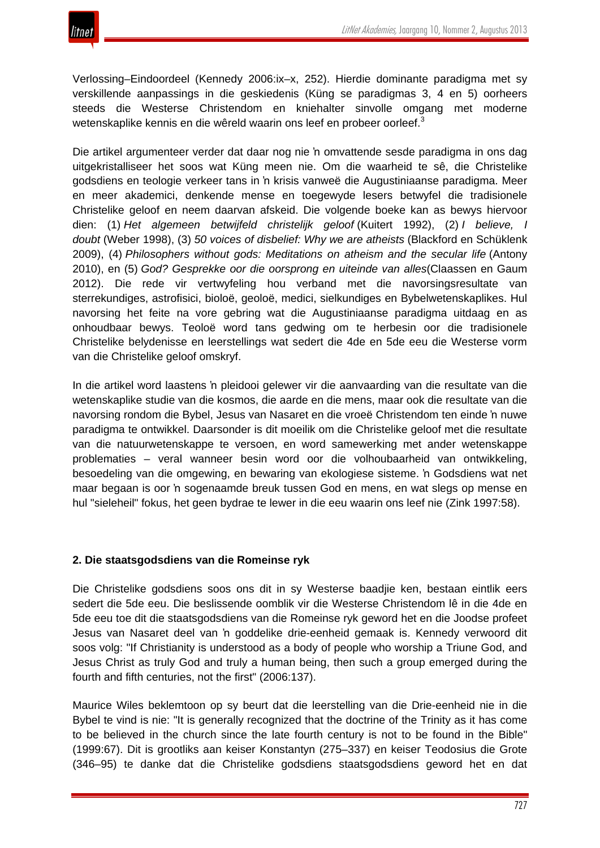Verlossing–Eindoordeel (Kennedy 2006:ix–x, 252). Hierdie dominante paradigma met sy verskillende aanpassings in die geskiedenis (Küng se paradigmas 3, 4 en 5) oorheers steeds die Westerse Christendom en kniehalter sinvolle omgang met moderne wetenskaplike kennis en die wêreld waarin ons leef en probeer oorleef.<sup>3</sup>

Die artikel argumenteer verder dat daar nog nie 'n omvattende sesde paradigma in ons dag uitgekristalliseer het soos wat Küng meen nie. Om die waarheid te sê, die Christelike godsdiens en teologie verkeer tans in 'n krisis vanweë die Augustiniaanse paradigma. Meer en meer akademici, denkende mense en toegewyde lesers betwyfel die tradisionele Christelike geloof en neem daarvan afskeid. Die volgende boeke kan as bewys hiervoor dien: (1) *Het algemeen betwijfeld christelijk geloof* (Kuitert 1992), (2) *I believe, I doubt* (Weber 1998), (3) *50 voices of disbelief: Why we are atheists* (Blackford en Schüklenk 2009), (4) *Philosophers without gods: Meditations on atheism and the secular life* (Antony 2010), en (5) *God? Gesprekke oor die oorsprong en uiteinde van alles*(Claassen en Gaum 2012). Die rede vir vertwyfeling hou verband met die navorsingsresultate van sterrekundiges, astrofisici, bioloë, geoloë, medici, sielkundiges en Bybelwetenskaplikes. Hul navorsing het feite na vore gebring wat die Augustiniaanse paradigma uitdaag en as onhoudbaar bewys. Teoloë word tans gedwing om te herbesin oor die tradisionele Christelike belydenisse en leerstellings wat sedert die 4de en 5de eeu die Westerse vorm van die Christelike geloof omskryf.

In die artikel word laastens 'n pleidooi gelewer vir die aanvaarding van die resultate van die wetenskaplike studie van die kosmos, die aarde en die mens, maar ook die resultate van die navorsing rondom die Bybel, Jesus van Nasaret en die vroeë Christendom ten einde 'n nuwe paradigma te ontwikkel. Daarsonder is dit moeilik om die Christelike geloof met die resultate van die natuurwetenskappe te versoen, en word samewerking met ander wetenskappe problematies – veral wanneer besin word oor die volhoubaarheid van ontwikkeling, besoedeling van die omgewing, en bewaring van ekologiese sisteme. 'n Godsdiens wat net maar begaan is oor 'n sogenaamde breuk tussen God en mens, en wat slegs op mense en hul "sieleheil" fokus, het geen bydrae te lewer in die eeu waarin ons leef nie (Zink 1997:58).

# **2. Die staatsgodsdiens van die Romeinse ryk**

Die Christelike godsdiens soos ons dit in sy Westerse baadjie ken, bestaan eintlik eers sedert die 5de eeu. Die beslissende oomblik vir die Westerse Christendom lê in die 4de en 5de eeu toe dit die staatsgodsdiens van die Romeinse ryk geword het en die Joodse profeet Jesus van Nasaret deel van 'n goddelike drie-eenheid gemaak is. Kennedy verwoord dit soos volg: "If Christianity is understood as a body of people who worship a Triune God, and Jesus Christ as truly God and truly a human being, then such a group emerged during the fourth and fifth centuries, not the first" (2006:137).

Maurice Wiles beklemtoon op sy beurt dat die leerstelling van die Drie-eenheid nie in die Bybel te vind is nie: "It is generally recognized that the doctrine of the Trinity as it has come to be believed in the church since the late fourth century is not to be found in the Bible" (1999:67). Dit is grootliks aan keiser Konstantyn (275–337) en keiser Teodosius die Grote (346–95) te danke dat die Christelike godsdiens staatsgodsdiens geword het en dat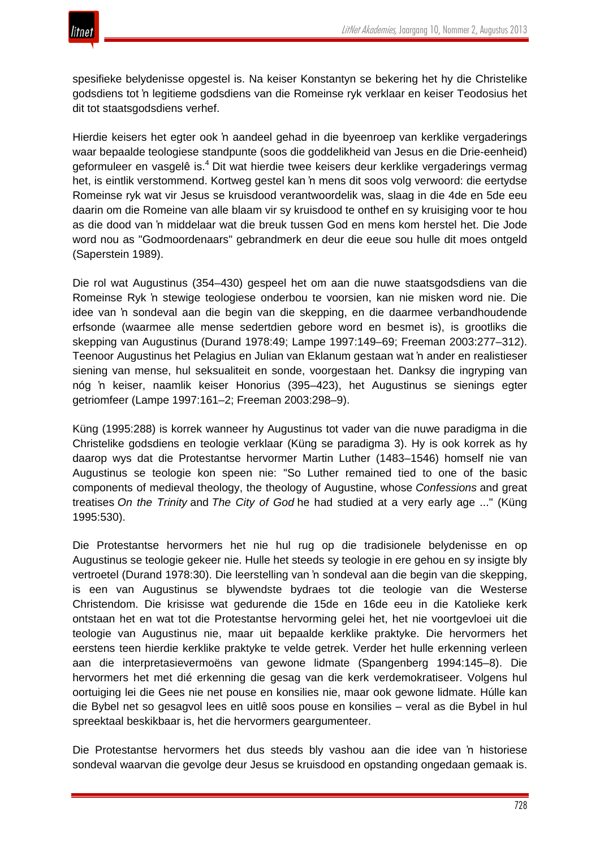spesifieke belydenisse opgestel is. Na keiser Konstantyn se bekering het hy die Christelike godsdiens tot 'n legitieme godsdiens van die Romeinse ryk verklaar en keiser Teodosius het dit tot staatsgodsdiens verhef.

Hierdie keisers het egter ook 'n aandeel gehad in die byeenroep van kerklike vergaderings waar bepaalde teologiese standpunte (soos die goddelikheid van Jesus en die Drie-eenheid) geformuleer en vasgelê is.<sup>4</sup> Dit wat hierdie twee keisers deur kerklike vergaderings vermag het, is eintlik verstommend. Kortweg gestel kan 'n mens dit soos volg verwoord: die eertydse Romeinse ryk wat vir Jesus se kruisdood verantwoordelik was, slaag in die 4de en 5de eeu daarin om die Romeine van alle blaam vir sy kruisdood te onthef en sy kruisiging voor te hou as die dood van 'n middelaar wat die breuk tussen God en mens kom herstel het. Die Jode word nou as "Godmoordenaars" gebrandmerk en deur die eeue sou hulle dit moes ontgeld (Saperstein 1989).

Die rol wat Augustinus (354–430) gespeel het om aan die nuwe staatsgodsdiens van die Romeinse Ryk 'n stewige teologiese onderbou te voorsien, kan nie misken word nie. Die idee van 'n sondeval aan die begin van die skepping, en die daarmee verbandhoudende erfsonde (waarmee alle mense sedertdien gebore word en besmet is), is grootliks die skepping van Augustinus (Durand 1978:49; Lampe 1997:149–69; Freeman 2003:277–312). Teenoor Augustinus het Pelagius en Julian van Eklanum gestaan wat 'n ander en realistieser siening van mense, hul seksualiteit en sonde, voorgestaan het. Danksy die ingryping van nóg 'n keiser, naamlik keiser Honorius (395–423), het Augustinus se sienings egter getriomfeer (Lampe 1997:161–2; Freeman 2003:298–9).

Küng (1995:288) is korrek wanneer hy Augustinus tot vader van die nuwe paradigma in die Christelike godsdiens en teologie verklaar (Küng se paradigma 3). Hy is ook korrek as hy daarop wys dat die Protestantse hervormer Martin Luther (1483–1546) homself nie van Augustinus se teologie kon speen nie: "So Luther remained tied to one of the basic components of medieval theology, the theology of Augustine, whose *Confessions* and great treatises *On the Trinity* and *The City of God* he had studied at a very early age ..." (Küng 1995:530).

Die Protestantse hervormers het nie hul rug op die tradisionele belydenisse en op Augustinus se teologie gekeer nie. Hulle het steeds sy teologie in ere gehou en sy insigte bly vertroetel (Durand 1978:30). Die leerstelling van 'n sondeval aan die begin van die skepping, is een van Augustinus se blywendste bydraes tot die teologie van die Westerse Christendom. Die krisisse wat gedurende die 15de en 16de eeu in die Katolieke kerk ontstaan het en wat tot die Protestantse hervorming gelei het, het nie voortgevloei uit die teologie van Augustinus nie, maar uit bepaalde kerklike praktyke. Die hervormers het eerstens teen hierdie kerklike praktyke te velde getrek. Verder het hulle erkenning verleen aan die interpretasievermoëns van gewone lidmate (Spangenberg 1994:145–8). Die hervormers het met dié erkenning die gesag van die kerk verdemokratiseer. Volgens hul oortuiging lei die Gees nie net pouse en konsilies nie, maar ook gewone lidmate. Húlle kan die Bybel net so gesagvol lees en uitlê soos pouse en konsilies – veral as die Bybel in hul spreektaal beskikbaar is, het die hervormers geargumenteer.

Die Protestantse hervormers het dus steeds bly vashou aan die idee van 'n historiese sondeval waarvan die gevolge deur Jesus se kruisdood en opstanding ongedaan gemaak is.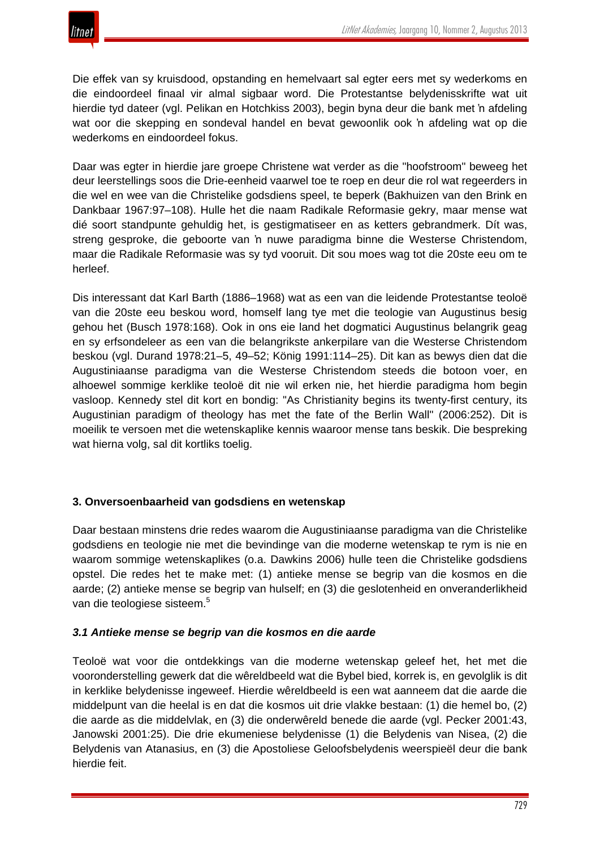Die effek van sy kruisdood, opstanding en hemelvaart sal egter eers met sy wederkoms en die eindoordeel finaal vir almal sigbaar word. Die Protestantse belydenisskrifte wat uit hierdie tyd dateer (vgl. Pelikan en Hotchkiss 2003), begin byna deur die bank met 'n afdeling wat oor die skepping en sondeval handel en bevat gewoonlik ook 'n afdeling wat op die wederkoms en eindoordeel fokus.

Daar was egter in hierdie jare groepe Christene wat verder as die "hoofstroom" beweeg het deur leerstellings soos die Drie-eenheid vaarwel toe te roep en deur die rol wat regeerders in die wel en wee van die Christelike godsdiens speel, te beperk (Bakhuizen van den Brink en Dankbaar 1967:97–108). Hulle het die naam Radikale Reformasie gekry, maar mense wat dié soort standpunte gehuldig het, is gestigmatiseer en as ketters gebrandmerk. Dít was, streng gesproke, die geboorte van 'n nuwe paradigma binne die Westerse Christendom, maar die Radikale Reformasie was sy tyd vooruit. Dit sou moes wag tot die 20ste eeu om te herleef.

Dis interessant dat Karl Barth (1886–1968) wat as een van die leidende Protestantse teoloë van die 20ste eeu beskou word, homself lang tye met die teologie van Augustinus besig gehou het (Busch 1978:168). Ook in ons eie land het dogmatici Augustinus belangrik geag en sy erfsondeleer as een van die belangrikste ankerpilare van die Westerse Christendom beskou (vgl. Durand 1978:21–5, 49–52; König 1991:114–25). Dit kan as bewys dien dat die Augustiniaanse paradigma van die Westerse Christendom steeds die botoon voer, en alhoewel sommige kerklike teoloë dit nie wil erken nie, het hierdie paradigma hom begin vasloop. Kennedy stel dit kort en bondig: "As Christianity begins its twenty-first century, its Augustinian paradigm of theology has met the fate of the Berlin Wall" (2006:252). Dit is moeilik te versoen met die wetenskaplike kennis waaroor mense tans beskik. Die bespreking wat hierna volg, sal dit kortliks toelig.

# **3. Onversoenbaarheid van godsdiens en wetenskap**

Daar bestaan minstens drie redes waarom die Augustiniaanse paradigma van die Christelike godsdiens en teologie nie met die bevindinge van die moderne wetenskap te rym is nie en waarom sommige wetenskaplikes (o.a. Dawkins 2006) hulle teen die Christelike godsdiens opstel. Die redes het te make met: (1) antieke mense se begrip van die kosmos en die aarde; (2) antieke mense se begrip van hulself; en (3) die geslotenheid en onveranderlikheid van die teologiese sisteem.<sup>5</sup>

## *3.1 Antieke mense se begrip van die kosmos en die aarde*

Teoloë wat voor die ontdekkings van die moderne wetenskap geleef het, het met die vooronderstelling gewerk dat die wêreldbeeld wat die Bybel bied, korrek is, en gevolglik is dit in kerklike belydenisse ingeweef. Hierdie wêreldbeeld is een wat aanneem dat die aarde die middelpunt van die heelal is en dat die kosmos uit drie vlakke bestaan: (1) die hemel bo, (2) die aarde as die middelvlak, en (3) die onderwêreld benede die aarde (vgl. Pecker 2001:43, Janowski 2001:25). Die drie ekumeniese belydenisse (1) die Belydenis van Nisea, (2) die Belydenis van Atanasius, en (3) die Apostoliese Geloofsbelydenis weerspieël deur die bank hierdie feit.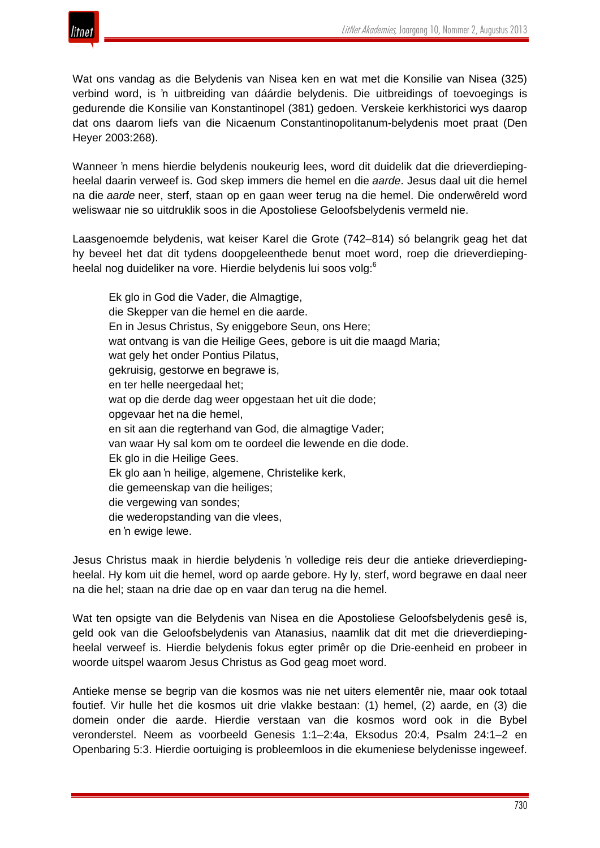

Wat ons vandag as die Belydenis van Nisea ken en wat met die Konsilie van Nisea (325) verbind word, is 'n uitbreiding van dáárdie belydenis. Die uitbreidings of toevoegings is gedurende die Konsilie van Konstantinopel (381) gedoen. Verskeie kerkhistorici wys daarop dat ons daarom liefs van die Nicaenum Constantinopolitanum-belydenis moet praat (Den Heyer 2003:268).

Wanneer 'n mens hierdie belydenis noukeurig lees, word dit duidelik dat die drieverdiepingheelal daarin verweef is. God skep immers die hemel en die *aarde*. Jesus daal uit die hemel na die *aarde* neer, sterf, staan op en gaan weer terug na die hemel. Die onderwêreld word weliswaar nie so uitdruklik soos in die Apostoliese Geloofsbelydenis vermeld nie.

Laasgenoemde belydenis, wat keiser Karel die Grote (742–814) só belangrik geag het dat hy beveel het dat dit tydens doopgeleenthede benut moet word, roep die drieverdiepingheelal nog duideliker na vore. Hierdie belydenis lui soos volg:<sup>6</sup>

Ek glo in God die Vader, die Almagtige, die Skepper van die hemel en die aarde. En in Jesus Christus, Sy eniggebore Seun, ons Here; wat ontvang is van die Heilige Gees, gebore is uit die maagd Maria; wat gely het onder Pontius Pilatus, gekruisig, gestorwe en begrawe is, en ter helle neergedaal het; wat op die derde dag weer opgestaan het uit die dode; opgevaar het na die hemel, en sit aan die regterhand van God, die almagtige Vader; van waar Hy sal kom om te oordeel die lewende en die dode. Ek glo in die Heilige Gees. Ek glo aan 'n heilige, algemene, Christelike kerk, die gemeenskap van die heiliges; die vergewing van sondes; die wederopstanding van die vlees, en 'n ewige lewe.

Jesus Christus maak in hierdie belydenis 'n volledige reis deur die antieke drieverdiepingheelal. Hy kom uit die hemel, word op aarde gebore. Hy ly, sterf, word begrawe en daal neer na die hel; staan na drie dae op en vaar dan terug na die hemel.

Wat ten opsigte van die Belydenis van Nisea en die Apostoliese Geloofsbelydenis gesê is, geld ook van die Geloofsbelydenis van Atanasius, naamlik dat dit met die drieverdiepingheelal verweef is. Hierdie belydenis fokus egter primêr op die Drie-eenheid en probeer in woorde uitspel waarom Jesus Christus as God geag moet word.

Antieke mense se begrip van die kosmos was nie net uiters elementêr nie, maar ook totaal foutief. Vir hulle het die kosmos uit drie vlakke bestaan: (1) hemel, (2) aarde, en (3) die domein onder die aarde. Hierdie verstaan van die kosmos word ook in die Bybel veronderstel. Neem as voorbeeld Genesis 1:1–2:4a, Eksodus 20:4, Psalm 24:1–2 en Openbaring 5:3. Hierdie oortuiging is probleemloos in die ekumeniese belydenisse ingeweef.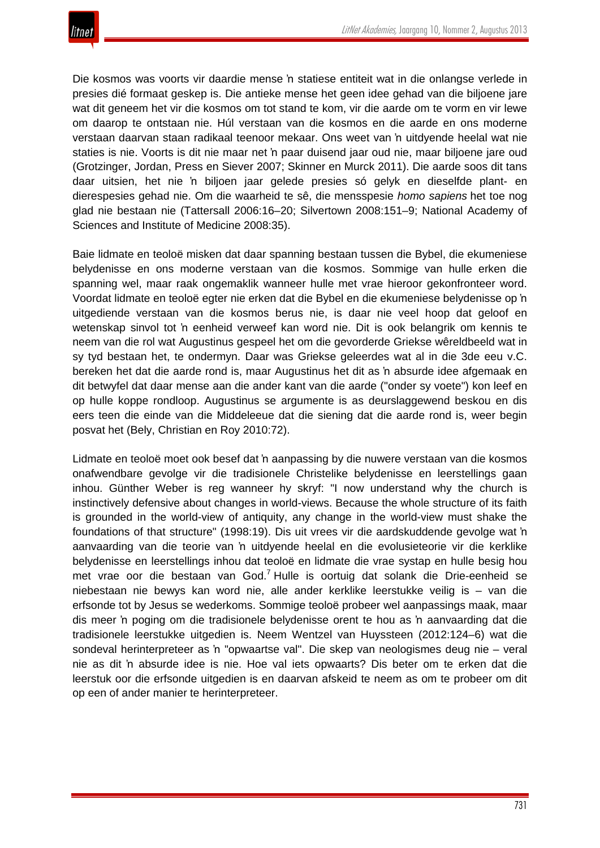

Die kosmos was voorts vir daardie mense 'n statiese entiteit wat in die onlangse verlede in presies dié formaat geskep is. Die antieke mense het geen idee gehad van die biljoene jare wat dit geneem het vir die kosmos om tot stand te kom, vir die aarde om te vorm en vir lewe om daarop te ontstaan nie. Húl verstaan van die kosmos en die aarde en ons moderne verstaan daarvan staan radikaal teenoor mekaar. Ons weet van 'n uitdyende heelal wat nie staties is nie. Voorts is dit nie maar net 'n paar duisend jaar oud nie, maar biljoene jare oud (Grotzinger, Jordan, Press en Siever 2007; Skinner en Murck 2011). Die aarde soos dit tans daar uitsien, het nie 'n biljoen jaar gelede presies só gelyk en dieselfde plant- en dierespesies gehad nie. Om die waarheid te sê, die mensspesie *homo sapiens* het toe nog glad nie bestaan nie (Tattersall 2006:16–20; Silvertown 2008:151–9; National Academy of Sciences and Institute of Medicine 2008:35).

Baie lidmate en teoloë misken dat daar spanning bestaan tussen die Bybel, die ekumeniese belydenisse en ons moderne verstaan van die kosmos. Sommige van hulle erken die spanning wel, maar raak ongemaklik wanneer hulle met vrae hieroor gekonfronteer word. Voordat lidmate en teoloë egter nie erken dat die Bybel en die ekumeniese belydenisse op 'n uitgediende verstaan van die kosmos berus nie, is daar nie veel hoop dat geloof en wetenskap sinvol tot 'n eenheid verweef kan word nie. Dit is ook belangrik om kennis te neem van die rol wat Augustinus gespeel het om die gevorderde Griekse wêreldbeeld wat in sy tyd bestaan het, te ondermyn. Daar was Griekse geleerdes wat al in die 3de eeu v.C. bereken het dat die aarde rond is, maar Augustinus het dit as 'n absurde idee afgemaak en dit betwyfel dat daar mense aan die ander kant van die aarde ("onder sy voete") kon leef en op hulle koppe rondloop. Augustinus se argumente is as deurslaggewend beskou en dis eers teen die einde van die Middeleeue dat die siening dat die aarde rond is, weer begin posvat het (Bely, Christian en Roy 2010:72).

Lidmate en teoloë moet ook besef dat 'n aanpassing by die nuwere verstaan van die kosmos onafwendbare gevolge vir die tradisionele Christelike belydenisse en leerstellings gaan inhou. Günther Weber is reg wanneer hy skryf: "I now understand why the church is instinctively defensive about changes in world-views. Because the whole structure of its faith is grounded in the world-view of antiquity, any change in the world-view must shake the foundations of that structure" (1998:19). Dis uit vrees vir die aardskuddende gevolge wat 'n aanvaarding van die teorie van 'n uitdyende heelal en die evolusieteorie vir die kerklike belydenisse en leerstellings inhou dat teoloë en lidmate die vrae systap en hulle besig hou met vrae oor die bestaan van God.<sup>7</sup> Hulle is oortuig dat solank die Drie-eenheid se niebestaan nie bewys kan word nie, alle ander kerklike leerstukke veilig is – van die erfsonde tot by Jesus se wederkoms. Sommige teoloë probeer wel aanpassings maak, maar dis meer 'n poging om die tradisionele belydenisse orent te hou as 'n aanvaarding dat die tradisionele leerstukke uitgedien is. Neem Wentzel van Huyssteen (2012:124–6) wat die sondeval herinterpreteer as 'n "opwaartse val". Die skep van neologismes deug nie – veral nie as dit 'n absurde idee is nie. Hoe val iets opwaarts? Dis beter om te erken dat die leerstuk oor die erfsonde uitgedien is en daarvan afskeid te neem as om te probeer om dit op een of ander manier te herinterpreteer.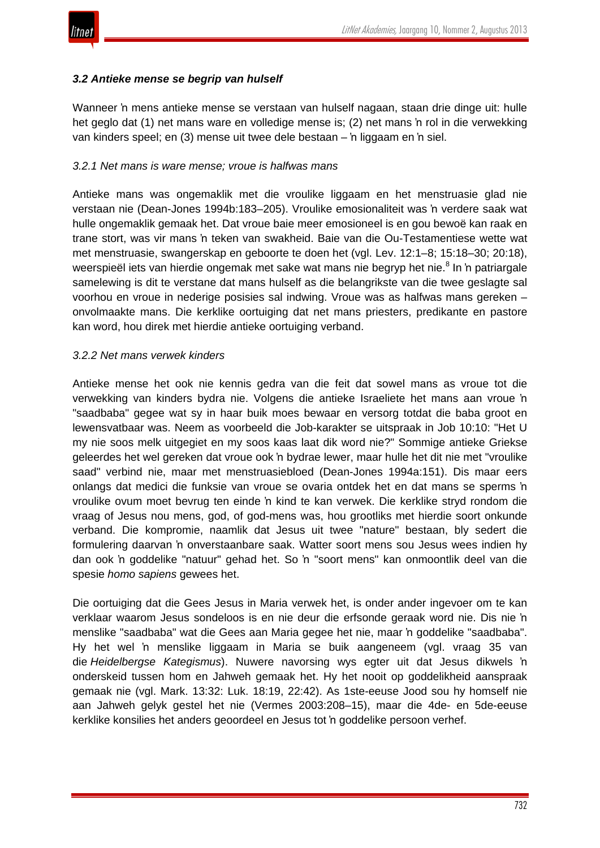

## *3.2 Antieke mense se begrip van hulself*

Wanneer 'n mens antieke mense se verstaan van hulself nagaan, staan drie dinge uit: hulle het geglo dat (1) net mans ware en volledige mense is; (2) net mans 'n rol in die verwekking van kinders speel; en (3) mense uit twee dele bestaan – 'n liggaam en 'n siel.

## *3.2.1 Net mans is ware mense; vroue is halfwas mans*

Antieke mans was ongemaklik met die vroulike liggaam en het menstruasie glad nie verstaan nie (Dean-Jones 1994b:183–205). Vroulike emosionaliteit was 'n verdere saak wat hulle ongemaklik gemaak het. Dat vroue baie meer emosioneel is en gou bewoë kan raak en trane stort, was vir mans 'n teken van swakheid. Baie van die Ou-Testamentiese wette wat met menstruasie, swangerskap en geboorte te doen het (vgl. Lev. 12:1–8; 15:18–30; 20:18), weerspieël iets van hierdie ongemak met sake wat mans nie begryp het nie.<sup>8</sup> In 'n patriargale samelewing is dit te verstane dat mans hulself as die belangrikste van die twee geslagte sal voorhou en vroue in nederige posisies sal indwing. Vroue was as halfwas mans gereken – onvolmaakte mans. Die kerklike oortuiging dat net mans priesters, predikante en pastore kan word, hou direk met hierdie antieke oortuiging verband.

#### *3.2.2 Net mans verwek kinders*

Antieke mense het ook nie kennis gedra van die feit dat sowel mans as vroue tot die verwekking van kinders bydra nie. Volgens die antieke Israeliete het mans aan vroue 'n "saadbaba" gegee wat sy in haar buik moes bewaar en versorg totdat die baba groot en lewensvatbaar was. Neem as voorbeeld die Job-karakter se uitspraak in Job 10:10: "Het U my nie soos melk uitgegiet en my soos kaas laat dik word nie?" Sommige antieke Griekse geleerdes het wel gereken dat vroue ook 'n bydrae lewer, maar hulle het dit nie met "vroulike saad" verbind nie, maar met menstruasiebloed (Dean-Jones 1994a:151). Dis maar eers onlangs dat medici die funksie van vroue se ovaria ontdek het en dat mans se sperms 'n vroulike ovum moet bevrug ten einde 'n kind te kan verwek. Die kerklike stryd rondom die vraag of Jesus nou mens, god, of god-mens was, hou grootliks met hierdie soort onkunde verband. Die kompromie, naamlik dat Jesus uit twee "nature" bestaan, bly sedert die formulering daarvan 'n onverstaanbare saak. Watter soort mens sou Jesus wees indien hy dan ook 'n goddelike "natuur" gehad het. So 'n "soort mens" kan onmoontlik deel van die spesie *homo sapiens* gewees het.

Die oortuiging dat die Gees Jesus in Maria verwek het, is onder ander ingevoer om te kan verklaar waarom Jesus sondeloos is en nie deur die erfsonde geraak word nie. Dis nie 'n menslike "saadbaba" wat die Gees aan Maria gegee het nie, maar 'n goddelike "saadbaba". Hy het wel 'n menslike liggaam in Maria se buik aangeneem (vgl. vraag 35 van die *Heidelbergse Kategismus*). Nuwere navorsing wys egter uit dat Jesus dikwels 'n onderskeid tussen hom en Jahweh gemaak het. Hy het nooit op goddelikheid aanspraak gemaak nie (vgl. Mark. 13:32: Luk. 18:19, 22:42). As 1ste-eeuse Jood sou hy homself nie aan Jahweh gelyk gestel het nie (Vermes 2003:208–15), maar die 4de- en 5de-eeuse kerklike konsilies het anders geoordeel en Jesus tot 'n goddelike persoon verhef.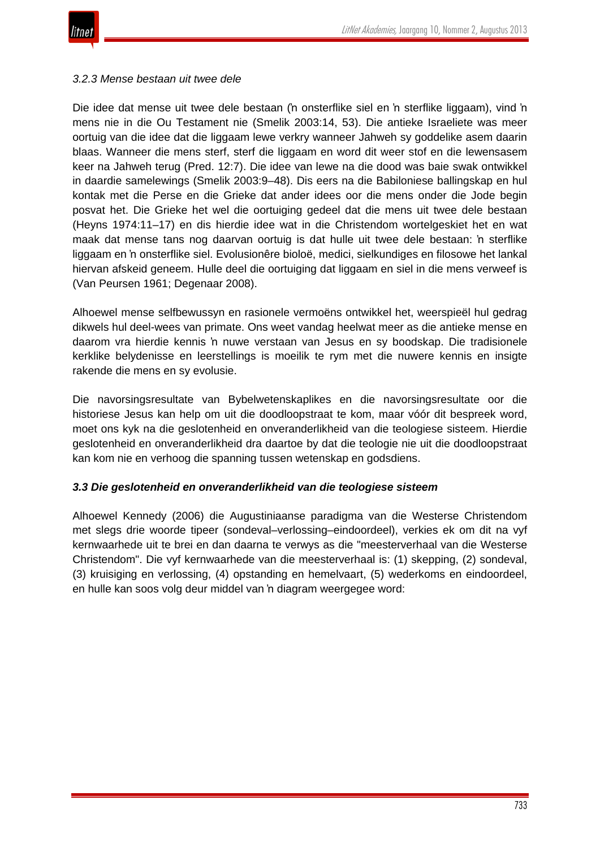

#### *3.2.3 Mense bestaan uit twee dele*

Die idee dat mense uit twee dele bestaan ('n onsterflike siel en 'n sterflike liggaam), vind 'n mens nie in die Ou Testament nie (Smelik 2003:14, 53). Die antieke Israeliete was meer oortuig van die idee dat die liggaam lewe verkry wanneer Jahweh sy goddelike asem daarin blaas. Wanneer die mens sterf, sterf die liggaam en word dit weer stof en die lewensasem keer na Jahweh terug (Pred. 12:7). Die idee van lewe na die dood was baie swak ontwikkel in daardie samelewings (Smelik 2003:9–48). Dis eers na die Babiloniese ballingskap en hul kontak met die Perse en die Grieke dat ander idees oor die mens onder die Jode begin posvat het. Die Grieke het wel die oortuiging gedeel dat die mens uit twee dele bestaan (Heyns 1974:11–17) en dis hierdie idee wat in die Christendom wortelgeskiet het en wat maak dat mense tans nog daarvan oortuig is dat hulle uit twee dele bestaan: 'n sterflike liggaam en 'n onsterflike siel. Evolusionêre bioloë, medici, sielkundiges en filosowe het lankal hiervan afskeid geneem. Hulle deel die oortuiging dat liggaam en siel in die mens verweef is (Van Peursen 1961; Degenaar 2008).

Alhoewel mense selfbewussyn en rasionele vermoëns ontwikkel het, weerspieël hul gedrag dikwels hul deel-wees van primate. Ons weet vandag heelwat meer as die antieke mense en daarom vra hierdie kennis 'n nuwe verstaan van Jesus en sy boodskap. Die tradisionele kerklike belydenisse en leerstellings is moeilik te rym met die nuwere kennis en insigte rakende die mens en sy evolusie.

Die navorsingsresultate van Bybelwetenskaplikes en die navorsingsresultate oor die historiese Jesus kan help om uit die doodloopstraat te kom, maar vóór dit bespreek word, moet ons kyk na die geslotenheid en onveranderlikheid van die teologiese sisteem. Hierdie geslotenheid en onveranderlikheid dra daartoe by dat die teologie nie uit die doodloopstraat kan kom nie en verhoog die spanning tussen wetenskap en godsdiens.

## *3.3 Die geslotenheid en onveranderlikheid van die teologiese sisteem*

Alhoewel Kennedy (2006) die Augustiniaanse paradigma van die Westerse Christendom met slegs drie woorde tipeer (sondeval–verlossing–eindoordeel), verkies ek om dit na vyf kernwaarhede uit te brei en dan daarna te verwys as die "meesterverhaal van die Westerse Christendom". Die vyf kernwaarhede van die meesterverhaal is: (1) skepping, (2) sondeval, (3) kruisiging en verlossing, (4) opstanding en hemelvaart, (5) wederkoms en eindoordeel, en hulle kan soos volg deur middel van 'n diagram weergegee word: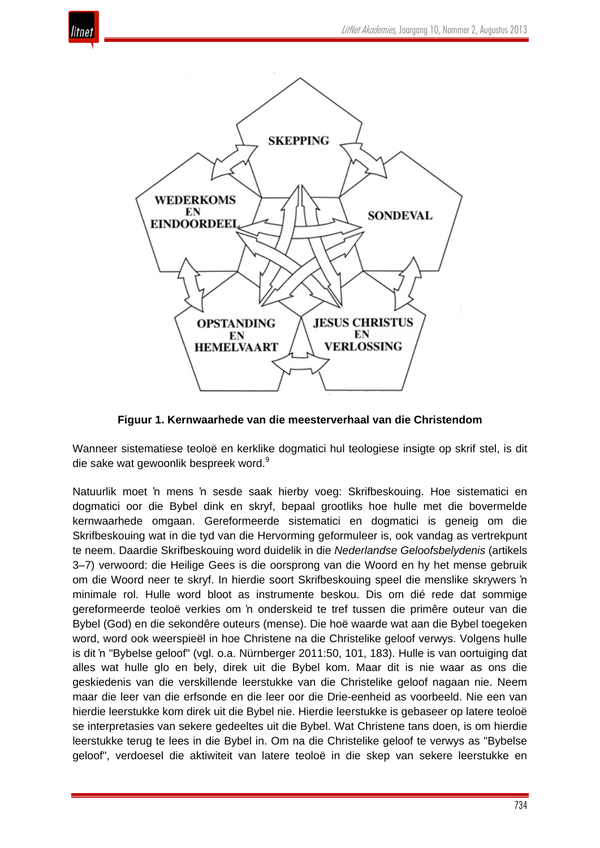



**Figuur 1. Kernwaarhede van die meesterverhaal van die Christendom**

Wanneer sistematiese teoloë en kerklike dogmatici hul teologiese insigte op skrif stel, is dit die sake wat gewoonlik bespreek word.<sup>9</sup>

Natuurlik moet 'n mens 'n sesde saak hierby voeg: Skrifbeskouing. Hoe sistematici en dogmatici oor die Bybel dink en skryf, bepaal grootliks hoe hulle met die bovermelde kernwaarhede omgaan. Gereformeerde sistematici en dogmatici is geneig om die Skrifbeskouing wat in die tyd van die Hervorming geformuleer is, ook vandag as vertrekpunt te neem. Daardie Skrifbeskouing word duidelik in die *Nederlandse Geloofsbelydenis* (artikels 3–7) verwoord: die Heilige Gees is die oorsprong van die Woord en hy het mense gebruik om die Woord neer te skryf. In hierdie soort Skrifbeskouing speel die menslike skrywers 'n minimale rol. Hulle word bloot as instrumente beskou. Dis om dié rede dat sommige gereformeerde teoloë verkies om 'n onderskeid te tref tussen die primêre outeur van die Bybel (God) en die sekondêre outeurs (mense). Die hoë waarde wat aan die Bybel toegeken word, word ook weerspieël in hoe Christene na die Christelike geloof verwys. Volgens hulle is dit 'n "Bybelse geloof" (vgl. o.a. Nürnberger 2011:50, 101, 183). Hulle is van oortuiging dat alles wat hulle glo en bely, direk uit die Bybel kom. Maar dit is nie waar as ons die geskiedenis van die verskillende leerstukke van die Christelike geloof nagaan nie. Neem maar die leer van die erfsonde en die leer oor die Drie-eenheid as voorbeeld. Nie een van hierdie leerstukke kom direk uit die Bybel nie. Hierdie leerstukke is gebaseer op latere teoloë se interpretasies van sekere gedeeltes uit die Bybel. Wat Christene tans doen, is om hierdie leerstukke terug te lees in die Bybel in. Om na die Christelike geloof te verwys as "Bybelse geloof", verdoesel die aktiwiteit van latere teoloë in die skep van sekere leerstukke en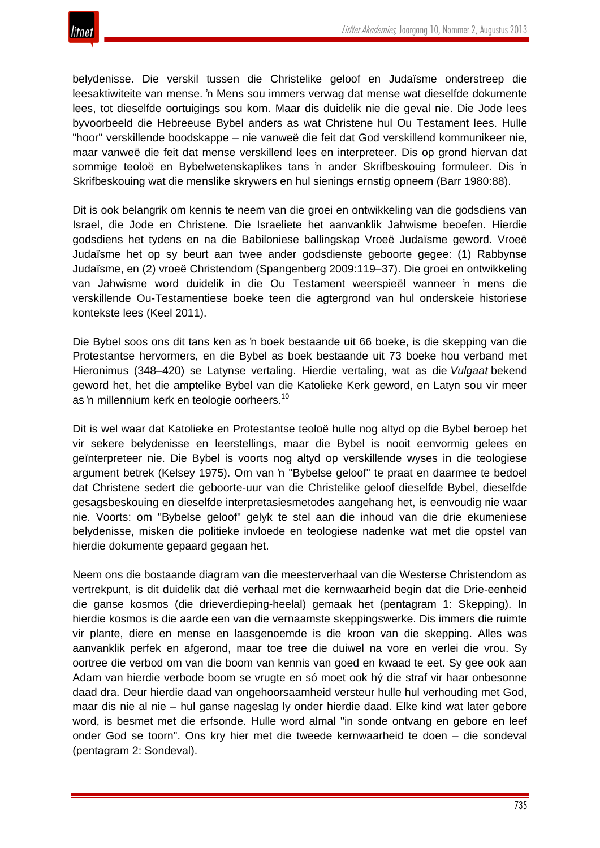belydenisse. Die verskil tussen die Christelike geloof en Judaïsme onderstreep die leesaktiwiteite van mense. 'n Mens sou immers verwag dat mense wat dieselfde dokumente lees, tot dieselfde oortuigings sou kom. Maar dis duidelik nie die geval nie. Die Jode lees byvoorbeeld die Hebreeuse Bybel anders as wat Christene hul Ou Testament lees. Hulle "hoor" verskillende boodskappe – nie vanweë die feit dat God verskillend kommunikeer nie, maar vanweë die feit dat mense verskillend lees en interpreteer. Dis op grond hiervan dat sommige teoloë en Bybelwetenskaplikes tans 'n ander Skrifbeskouing formuleer. Dis 'n Skrifbeskouing wat die menslike skrywers en hul sienings ernstig opneem (Barr 1980:88).

Dit is ook belangrik om kennis te neem van die groei en ontwikkeling van die godsdiens van Israel, die Jode en Christene. Die Israeliete het aanvanklik Jahwisme beoefen. Hierdie godsdiens het tydens en na die Babiloniese ballingskap Vroeë Judaïsme geword. Vroeë Judaïsme het op sy beurt aan twee ander godsdienste geboorte gegee: (1) Rabbynse Judaïsme, en (2) vroeë Christendom (Spangenberg 2009:119–37). Die groei en ontwikkeling van Jahwisme word duidelik in die Ou Testament weerspieël wanneer 'n mens die verskillende Ou-Testamentiese boeke teen die agtergrond van hul onderskeie historiese kontekste lees (Keel 2011).

Die Bybel soos ons dit tans ken as 'n boek bestaande uit 66 boeke, is die skepping van die Protestantse hervormers, en die Bybel as boek bestaande uit 73 boeke hou verband met Hieronimus (348–420) se Latynse vertaling. Hierdie vertaling, wat as die *Vulgaat* bekend geword het, het die amptelike Bybel van die Katolieke Kerk geword, en Latyn sou vir meer as 'n millennium kerk en teologie oorheers.<sup>10</sup>

Dit is wel waar dat Katolieke en Protestantse teoloë hulle nog altyd op die Bybel beroep het vir sekere belydenisse en leerstellings, maar die Bybel is nooit eenvormig gelees en geïnterpreteer nie. Die Bybel is voorts nog altyd op verskillende wyses in die teologiese argument betrek (Kelsey 1975). Om van 'n "Bybelse geloof" te praat en daarmee te bedoel dat Christene sedert die geboorte-uur van die Christelike geloof dieselfde Bybel, dieselfde gesagsbeskouing en dieselfde interpretasiesmetodes aangehang het, is eenvoudig nie waar nie. Voorts: om "Bybelse geloof" gelyk te stel aan die inhoud van die drie ekumeniese belydenisse, misken die politieke invloede en teologiese nadenke wat met die opstel van hierdie dokumente gepaard gegaan het.

Neem ons die bostaande diagram van die meesterverhaal van die Westerse Christendom as vertrekpunt, is dit duidelik dat dié verhaal met die kernwaarheid begin dat die Drie-eenheid die ganse kosmos (die drieverdieping-heelal) gemaak het (pentagram 1: Skepping). In hierdie kosmos is die aarde een van die vernaamste skeppingswerke. Dis immers die ruimte vir plante, diere en mense en laasgenoemde is die kroon van die skepping. Alles was aanvanklik perfek en afgerond, maar toe tree die duiwel na vore en verlei die vrou. Sy oortree die verbod om van die boom van kennis van goed en kwaad te eet. Sy gee ook aan Adam van hierdie verbode boom se vrugte en só moet ook hý die straf vir haar onbesonne daad dra. Deur hierdie daad van ongehoorsaamheid versteur hulle hul verhouding met God, maar dis nie al nie – hul ganse nageslag ly onder hierdie daad. Elke kind wat later gebore word, is besmet met die erfsonde. Hulle word almal "in sonde ontvang en gebore en leef onder God se toorn". Ons kry hier met die tweede kernwaarheid te doen – die sondeval (pentagram 2: Sondeval).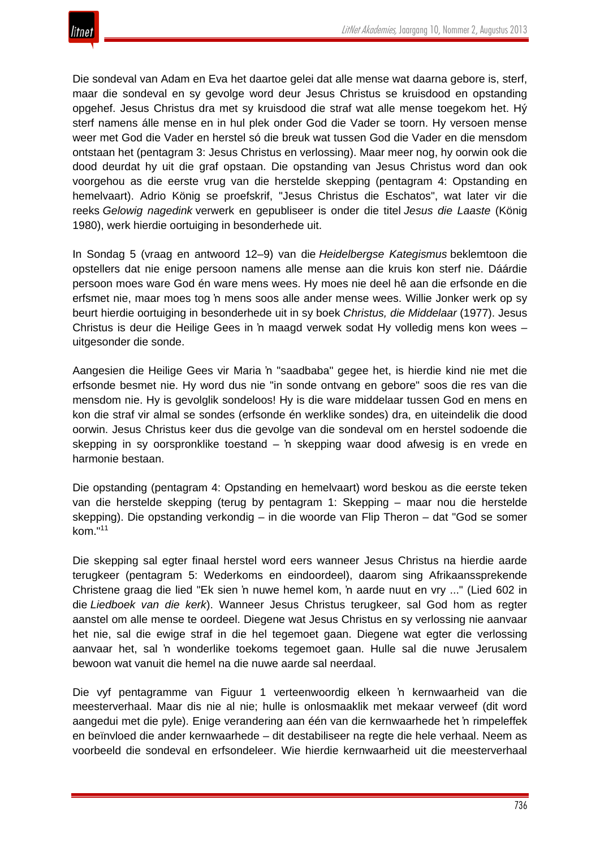

Die sondeval van Adam en Eva het daartoe gelei dat alle mense wat daarna gebore is, sterf, maar die sondeval en sy gevolge word deur Jesus Christus se kruisdood en opstanding opgehef. Jesus Christus dra met sy kruisdood die straf wat alle mense toegekom het. Hý sterf namens álle mense en in hul plek onder God die Vader se toorn. Hy versoen mense weer met God die Vader en herstel só die breuk wat tussen God die Vader en die mensdom ontstaan het (pentagram 3: Jesus Christus en verlossing). Maar meer nog, hy oorwin ook die dood deurdat hy uit die graf opstaan. Die opstanding van Jesus Christus word dan ook voorgehou as die eerste vrug van die herstelde skepping (pentagram 4: Opstanding en hemelvaart). Adrio König se proefskrif, "Jesus Christus die Eschatos", wat later vir die reeks *Gelowig nagedink* verwerk en gepubliseer is onder die titel *Jesus die Laaste* (König 1980), werk hierdie oortuiging in besonderhede uit.

In Sondag 5 (vraag en antwoord 12–9) van die *Heidelbergse Kategismus* beklemtoon die opstellers dat nie enige persoon namens alle mense aan die kruis kon sterf nie. Dáárdie persoon moes ware God én ware mens wees. Hy moes nie deel hê aan die erfsonde en die erfsmet nie, maar moes tog 'n mens soos alle ander mense wees. Willie Jonker werk op sy beurt hierdie oortuiging in besonderhede uit in sy boek *Christus, die Middelaar* (1977). Jesus Christus is deur die Heilige Gees in 'n maagd verwek sodat Hy volledig mens kon wees – uitgesonder die sonde.

Aangesien die Heilige Gees vir Maria 'n "saadbaba" gegee het, is hierdie kind nie met die erfsonde besmet nie. Hy word dus nie "in sonde ontvang en gebore" soos die res van die mensdom nie. Hy is gevolglik sondeloos! Hy is die ware middelaar tussen God en mens en kon die straf vir almal se sondes (erfsonde én werklike sondes) dra, en uiteindelik die dood oorwin. Jesus Christus keer dus die gevolge van die sondeval om en herstel sodoende die skepping in sy oorspronklike toestand – 'n skepping waar dood afwesig is en vrede en harmonie bestaan.

Die opstanding (pentagram 4: Opstanding en hemelvaart) word beskou as die eerste teken van die herstelde skepping (terug by pentagram 1: Skepping – maar nou die herstelde skepping). Die opstanding verkondig – in die woorde van Flip Theron – dat "God se somer kom." 11

Die skepping sal egter finaal herstel word eers wanneer Jesus Christus na hierdie aarde terugkeer (pentagram 5: Wederkoms en eindoordeel), daarom sing Afrikaanssprekende Christene graag die lied "Ek sien 'n nuwe hemel kom, 'n aarde nuut en vry ..." (Lied 602 in die *Liedboek van die kerk*). Wanneer Jesus Christus terugkeer, sal God hom as regter aanstel om alle mense te oordeel. Diegene wat Jesus Christus en sy verlossing nie aanvaar het nie, sal die ewige straf in die hel tegemoet gaan. Diegene wat egter die verlossing aanvaar het, sal 'n wonderlike toekoms tegemoet gaan. Hulle sal die nuwe Jerusalem bewoon wat vanuit die hemel na die nuwe aarde sal neerdaal.

Die vyf pentagramme van Figuur 1 verteenwoordig elkeen 'n kernwaarheid van die meesterverhaal. Maar dis nie al nie; hulle is onlosmaaklik met mekaar verweef (dit word aangedui met die pyle). Enige verandering aan één van die kernwaarhede het 'n rimpeleffek en beïnvloed die ander kernwaarhede – dit destabiliseer na regte die hele verhaal. Neem as voorbeeld die sondeval en erfsondeleer. Wie hierdie kernwaarheid uit die meesterverhaal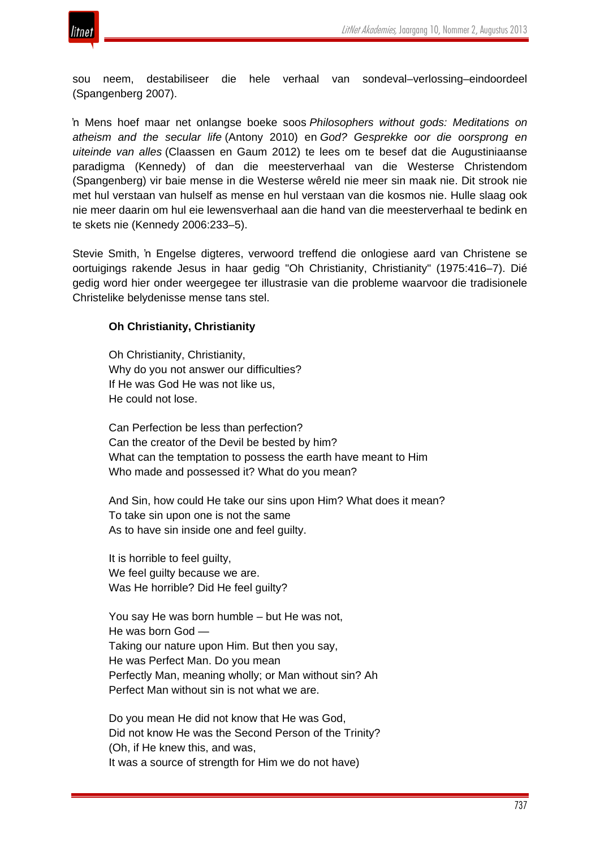

sou neem, destabiliseer die hele verhaal van sondeval–verlossing–eindoordeel (Spangenberg 2007).

'n Mens hoef maar net onlangse boeke soos *Philosophers without gods: Meditations on atheism and the secular life* (Antony 2010) en *God? Gesprekke oor die oorsprong en uiteinde van alles* (Claassen en Gaum 2012) te lees om te besef dat die Augustiniaanse paradigma (Kennedy) of dan die meesterverhaal van die Westerse Christendom (Spangenberg) vir baie mense in die Westerse wêreld nie meer sin maak nie. Dit strook nie met hul verstaan van hulself as mense en hul verstaan van die kosmos nie. Hulle slaag ook nie meer daarin om hul eie lewensverhaal aan die hand van die meesterverhaal te bedink en te skets nie (Kennedy 2006:233–5).

Stevie Smith, 'n Engelse digteres, verwoord treffend die onlogiese aard van Christene se oortuigings rakende Jesus in haar gedig "Oh Christianity, Christianity" (1975:416–7). Dié gedig word hier onder weergegee ter illustrasie van die probleme waarvoor die tradisionele Christelike belydenisse mense tans stel.

## **Oh Christianity, Christianity**

Oh Christianity, Christianity, Why do you not answer our difficulties? If He was God He was not like us, He could not lose.

Can Perfection be less than perfection? Can the creator of the Devil be bested by him? What can the temptation to possess the earth have meant to Him Who made and possessed it? What do you mean?

And Sin, how could He take our sins upon Him? What does it mean? To take sin upon one is not the same As to have sin inside one and feel guilty.

It is horrible to feel guilty, We feel quilty because we are. Was He horrible? Did He feel guilty?

You say He was born humble – but He was not, He was born God — Taking our nature upon Him. But then you say, He was Perfect Man. Do you mean Perfectly Man, meaning wholly; or Man without sin? Ah Perfect Man without sin is not what we are.

Do you mean He did not know that He was God, Did not know He was the Second Person of the Trinity? (Oh, if He knew this, and was, It was a source of strength for Him we do not have)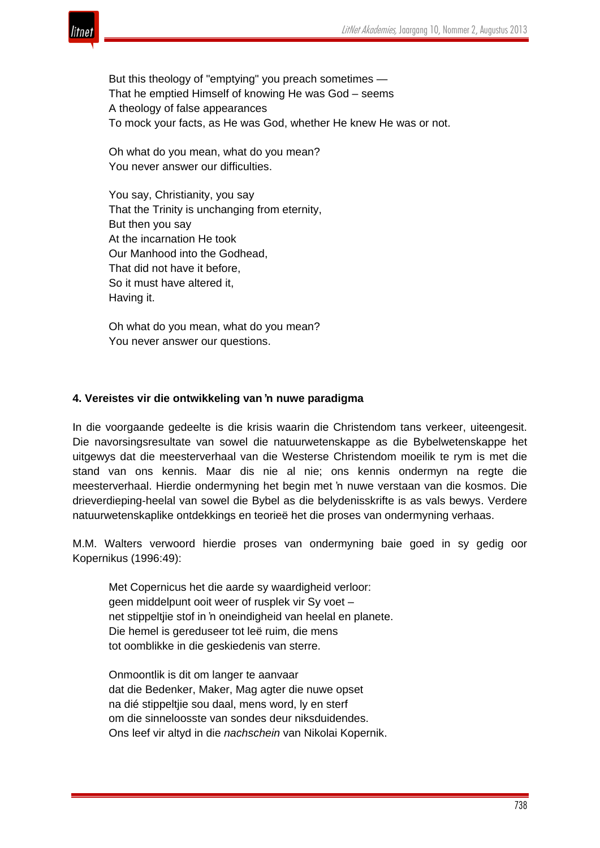

But this theology of "emptying" you preach sometimes — That he emptied Himself of knowing He was God – seems A theology of false appearances To mock your facts, as He was God, whether He knew He was or not.

Oh what do you mean, what do you mean? You never answer our difficulties.

You say, Christianity, you say That the Trinity is unchanging from eternity, But then you say At the incarnation He took Our Manhood into the Godhead, That did not have it before, So it must have altered it, Having it.

Oh what do you mean, what do you mean? You never answer our questions.

## **4. Vereistes vir die ontwikkeling van 'n nuwe paradigma**

In die voorgaande gedeelte is die krisis waarin die Christendom tans verkeer, uiteengesit. Die navorsingsresultate van sowel die natuurwetenskappe as die Bybelwetenskappe het uitgewys dat die meesterverhaal van die Westerse Christendom moeilik te rym is met die stand van ons kennis. Maar dis nie al nie; ons kennis ondermyn na regte die meesterverhaal. Hierdie ondermyning het begin met 'n nuwe verstaan van die kosmos. Die drieverdieping-heelal van sowel die Bybel as die belydenisskrifte is as vals bewys. Verdere natuurwetenskaplike ontdekkings en teorieë het die proses van ondermyning verhaas.

M.M. Walters verwoord hierdie proses van ondermyning baie goed in sy gedig oor Kopernikus (1996:49):

Met Copernicus het die aarde sy waardigheid verloor: geen middelpunt ooit weer of rusplek vir Sy voet – net stippeltjie stof in 'n oneindigheid van heelal en planete. Die hemel is gereduseer tot leë ruim, die mens tot oomblikke in die geskiedenis van sterre.

Onmoontlik is dit om langer te aanvaar dat die Bedenker, Maker, Mag agter die nuwe opset na dié stippeltjie sou daal, mens word, ly en sterf om die sinneloosste van sondes deur niksduidendes. Ons leef vir altyd in die *nachschein* van Nikolai Kopernik.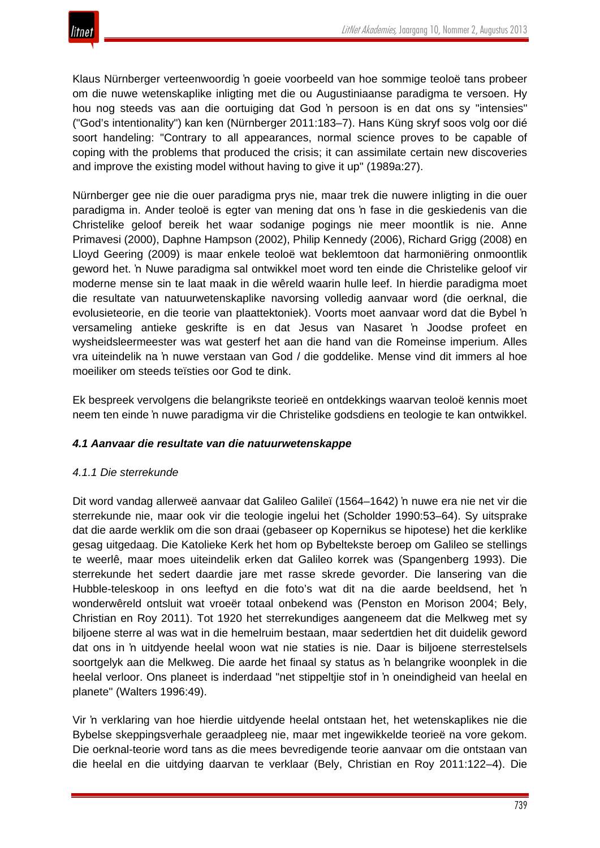Klaus Nürnberger verteenwoordig 'n goeie voorbeeld van hoe sommige teoloë tans probeer om die nuwe wetenskaplike inligting met die ou Augustiniaanse paradigma te versoen. Hy hou nog steeds vas aan die oortuiging dat God 'n persoon is en dat ons sy "intensies" ("God's intentionality") kan ken (Nürnberger 2011:183–7). Hans Küng skryf soos volg oor dié soort handeling: "Contrary to all appearances, normal science proves to be capable of coping with the problems that produced the crisis; it can assimilate certain new discoveries and improve the existing model without having to give it up" (1989a:27).

Nürnberger gee nie die ouer paradigma prys nie, maar trek die nuwere inligting in die ouer paradigma in. Ander teoloë is egter van mening dat ons 'n fase in die geskiedenis van die Christelike geloof bereik het waar sodanige pogings nie meer moontlik is nie. Anne Primavesi (2000), Daphne Hampson (2002), Philip Kennedy (2006), Richard Grigg (2008) en Lloyd Geering (2009) is maar enkele teoloë wat beklemtoon dat harmoniëring onmoontlik geword het. 'n Nuwe paradigma sal ontwikkel moet word ten einde die Christelike geloof vir moderne mense sin te laat maak in die wêreld waarin hulle leef. In hierdie paradigma moet die resultate van natuurwetenskaplike navorsing volledig aanvaar word (die oerknal, die evolusieteorie, en die teorie van plaattektoniek). Voorts moet aanvaar word dat die Bybel 'n versameling antieke geskrifte is en dat Jesus van Nasaret 'n Joodse profeet en wysheidsleermeester was wat gesterf het aan die hand van die Romeinse imperium. Alles vra uiteindelik na 'n nuwe verstaan van God / die goddelike. Mense vind dit immers al hoe moeiliker om steeds teïsties oor God te dink.

Ek bespreek vervolgens die belangrikste teorieë en ontdekkings waarvan teoloë kennis moet neem ten einde 'n nuwe paradigma vir die Christelike godsdiens en teologie te kan ontwikkel.

# *4.1 Aanvaar die resultate van die natuurwetenskappe*

## *4.1.1 Die sterrekunde*

Dit word vandag allerweë aanvaar dat Galileo Galileï (1564–1642) 'n nuwe era nie net vir die sterrekunde nie, maar ook vir die teologie ingelui het (Scholder 1990:53–64). Sy uitsprake dat die aarde werklik om die son draai (gebaseer op Kopernikus se hipotese) het die kerklike gesag uitgedaag. Die Katolieke Kerk het hom op Bybeltekste beroep om Galileo se stellings te weerlê, maar moes uiteindelik erken dat Galileo korrek was (Spangenberg 1993). Die sterrekunde het sedert daardie jare met rasse skrede gevorder. Die lansering van die Hubble-teleskoop in ons leeftyd en die foto's wat dit na die aarde beeldsend, het 'n wonderwêreld ontsluit wat vroeër totaal onbekend was (Penston en Morison 2004; Bely, Christian en Roy 2011). Tot 1920 het sterrekundiges aangeneem dat die Melkweg met sy biljoene sterre al was wat in die hemelruim bestaan, maar sedertdien het dit duidelik geword dat ons in 'n uitdyende heelal woon wat nie staties is nie. Daar is biljoene sterrestelsels soortgelyk aan die Melkweg. Die aarde het finaal sy status as 'n belangrike woonplek in die heelal verloor. Ons planeet is inderdaad "net stippeltjie stof in 'n oneindigheid van heelal en planete" (Walters 1996:49).

Vir 'n verklaring van hoe hierdie uitdyende heelal ontstaan het, het wetenskaplikes nie die Bybelse skeppingsverhale geraadpleeg nie, maar met ingewikkelde teorieë na vore gekom. Die oerknal-teorie word tans as die mees bevredigende teorie aanvaar om die ontstaan van die heelal en die uitdying daarvan te verklaar (Bely, Christian en Roy 2011:122–4). Die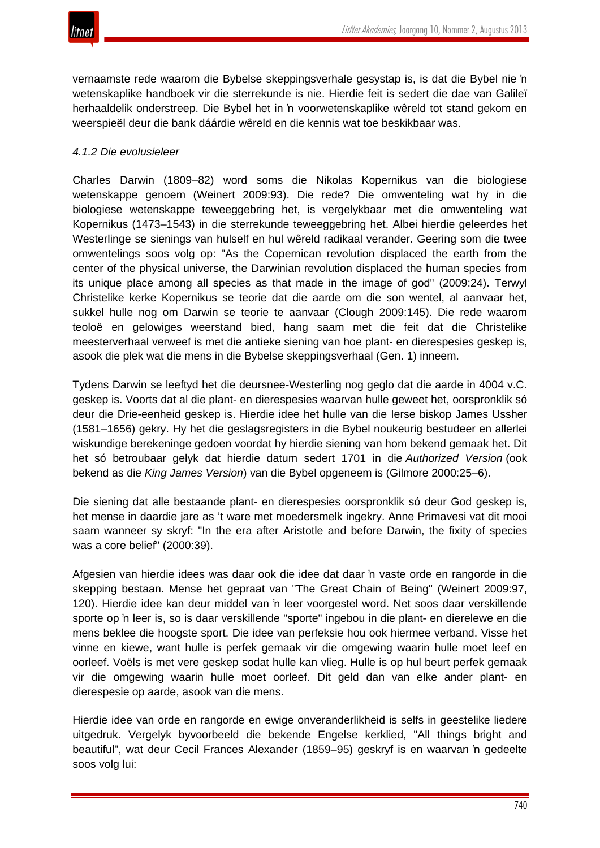

vernaamste rede waarom die Bybelse skeppingsverhale gesystap is, is dat die Bybel nie 'n wetenskaplike handboek vir die sterrekunde is nie. Hierdie feit is sedert die dae van Galileï herhaaldelik onderstreep. Die Bybel het in 'n voorwetenskaplike wêreld tot stand gekom en weerspieël deur die bank dáárdie wêreld en die kennis wat toe beskikbaar was.

#### *4.1.2 Die evolusieleer*

Charles Darwin (1809–82) word soms die Nikolas Kopernikus van die biologiese wetenskappe genoem (Weinert 2009:93). Die rede? Die omwenteling wat hy in die biologiese wetenskappe teweeggebring het, is vergelykbaar met die omwenteling wat Kopernikus (1473–1543) in die sterrekunde teweeggebring het. Albei hierdie geleerdes het Westerlinge se sienings van hulself en hul wêreld radikaal verander. Geering som die twee omwentelings soos volg op: "As the Copernican revolution displaced the earth from the center of the physical universe, the Darwinian revolution displaced the human species from its unique place among all species as that made in the image of god" (2009:24). Terwyl Christelike kerke Kopernikus se teorie dat die aarde om die son wentel, al aanvaar het, sukkel hulle nog om Darwin se teorie te aanvaar (Clough 2009:145). Die rede waarom teoloë en gelowiges weerstand bied, hang saam met die feit dat die Christelike meesterverhaal verweef is met die antieke siening van hoe plant- en dierespesies geskep is, asook die plek wat die mens in die Bybelse skeppingsverhaal (Gen. 1) inneem.

Tydens Darwin se leeftyd het die deursnee-Westerling nog geglo dat die aarde in 4004 v.C. geskep is. Voorts dat al die plant- en dierespesies waarvan hulle geweet het, oorspronklik só deur die Drie-eenheid geskep is. Hierdie idee het hulle van die Ierse biskop James Ussher (1581–1656) gekry. Hy het die geslagsregisters in die Bybel noukeurig bestudeer en allerlei wiskundige berekeninge gedoen voordat hy hierdie siening van hom bekend gemaak het. Dit het só betroubaar gelyk dat hierdie datum sedert 1701 in die *Authorized Version* (ook bekend as die *King James Version*) van die Bybel opgeneem is (Gilmore 2000:25–6).

Die siening dat alle bestaande plant- en dierespesies oorspronklik só deur God geskep is, het mense in daardie jare as 't ware met moedersmelk ingekry. Anne Primavesi vat dit mooi saam wanneer sy skryf: "In the era after Aristotle and before Darwin, the fixity of species was a core belief" (2000:39).

Afgesien van hierdie idees was daar ook die idee dat daar 'n vaste orde en rangorde in die skepping bestaan. Mense het gepraat van "The Great Chain of Being" (Weinert 2009:97, 120). Hierdie idee kan deur middel van 'n leer voorgestel word. Net soos daar verskillende sporte op 'n leer is, so is daar verskillende "sporte" ingebou in die plant- en dierelewe en die mens beklee die hoogste sport. Die idee van perfeksie hou ook hiermee verband. Visse het vinne en kiewe, want hulle is perfek gemaak vir die omgewing waarin hulle moet leef en oorleef. Voëls is met vere geskep sodat hulle kan vlieg. Hulle is op hul beurt perfek gemaak vir die omgewing waarin hulle moet oorleef. Dit geld dan van elke ander plant- en dierespesie op aarde, asook van die mens.

Hierdie idee van orde en rangorde en ewige onveranderlikheid is selfs in geestelike liedere uitgedruk. Vergelyk byvoorbeeld die bekende Engelse kerklied, "All things bright and beautiful", wat deur Cecil Frances Alexander (1859–95) geskryf is en waarvan 'n gedeelte soos volg lui: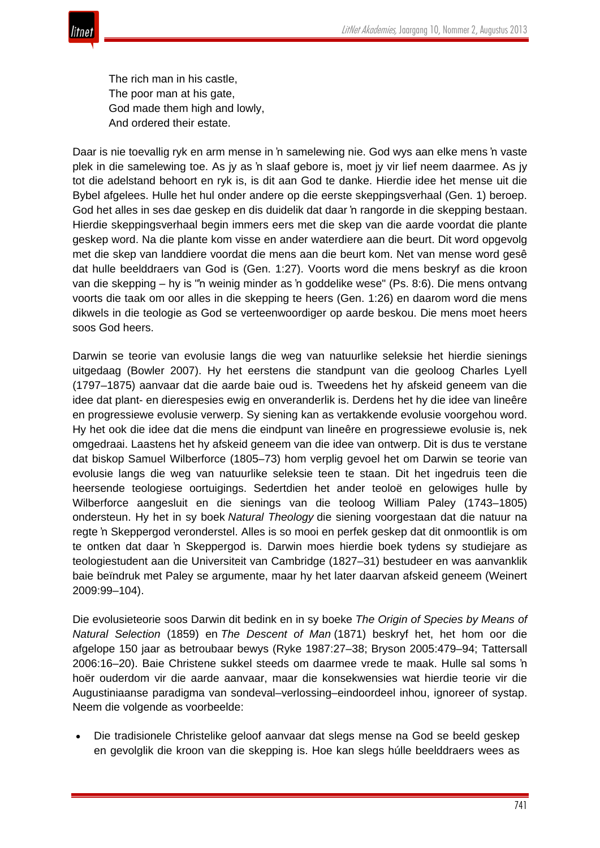

The rich man in his castle, The poor man at his gate, God made them high and lowly, And ordered their estate.

Daar is nie toevallig ryk en arm mense in 'n samelewing nie. God wys aan elke mens 'n vaste plek in die samelewing toe. As jy as 'n slaaf gebore is, moet jy vir lief neem daarmee. As jy tot die adelstand behoort en ryk is, is dit aan God te danke. Hierdie idee het mense uit die Bybel afgelees. Hulle het hul onder andere op die eerste skeppingsverhaal (Gen. 1) beroep. God het alles in ses dae geskep en dis duidelik dat daar 'n rangorde in die skepping bestaan. Hierdie skeppingsverhaal begin immers eers met die skep van die aarde voordat die plante geskep word. Na die plante kom visse en ander waterdiere aan die beurt. Dit word opgevolg met die skep van landdiere voordat die mens aan die beurt kom. Net van mense word gesê dat hulle beelddraers van God is (Gen. 1:27). Voorts word die mens beskryf as die kroon van die skepping – hy is "'n weinig minder as 'n goddelike wese" (Ps. 8:6). Die mens ontvang voorts die taak om oor alles in die skepping te heers (Gen. 1:26) en daarom word die mens dikwels in die teologie as God se verteenwoordiger op aarde beskou. Die mens moet heers soos God heers.

Darwin se teorie van evolusie langs die weg van natuurlike seleksie het hierdie sienings uitgedaag (Bowler 2007). Hy het eerstens die standpunt van die geoloog Charles Lyell (1797–1875) aanvaar dat die aarde baie oud is. Tweedens het hy afskeid geneem van die idee dat plant- en dierespesies ewig en onveranderlik is. Derdens het hy die idee van lineêre en progressiewe evolusie verwerp. Sy siening kan as vertakkende evolusie voorgehou word. Hy het ook die idee dat die mens die eindpunt van lineêre en progressiewe evolusie is, nek omgedraai. Laastens het hy afskeid geneem van die idee van ontwerp. Dit is dus te verstane dat biskop Samuel Wilberforce (1805–73) hom verplig gevoel het om Darwin se teorie van evolusie langs die weg van natuurlike seleksie teen te staan. Dit het ingedruis teen die heersende teologiese oortuigings. Sedertdien het ander teoloë en gelowiges hulle by Wilberforce aangesluit en die sienings van die teoloog William Paley (1743–1805) ondersteun. Hy het in sy boek *Natural Theology* die siening voorgestaan dat die natuur na regte 'n Skeppergod veronderstel. Alles is so mooi en perfek geskep dat dit onmoontlik is om te ontken dat daar 'n Skeppergod is. Darwin moes hierdie boek tydens sy studiejare as teologiestudent aan die Universiteit van Cambridge (1827–31) bestudeer en was aanvanklik baie beïndruk met Paley se argumente, maar hy het later daarvan afskeid geneem (Weinert 2009:99–104).

Die evolusieteorie soos Darwin dit bedink en in sy boeke *The Origin of Species by Means of Natural Selection* (1859) en *The Descent of Man* (1871) beskryf het, het hom oor die afgelope 150 jaar as betroubaar bewys (Ryke 1987:27–38; Bryson 2005:479–94; Tattersall 2006:16–20). Baie Christene sukkel steeds om daarmee vrede te maak. Hulle sal soms 'n hoër ouderdom vir die aarde aanvaar, maar die konsekwensies wat hierdie teorie vir die Augustiniaanse paradigma van sondeval–verlossing–eindoordeel inhou, ignoreer of systap. Neem die volgende as voorbeelde:

• Die tradisionele Christelike geloof aanvaar dat slegs mense na God se beeld geskep en gevolglik die kroon van die skepping is. Hoe kan slegs húlle beelddraers wees as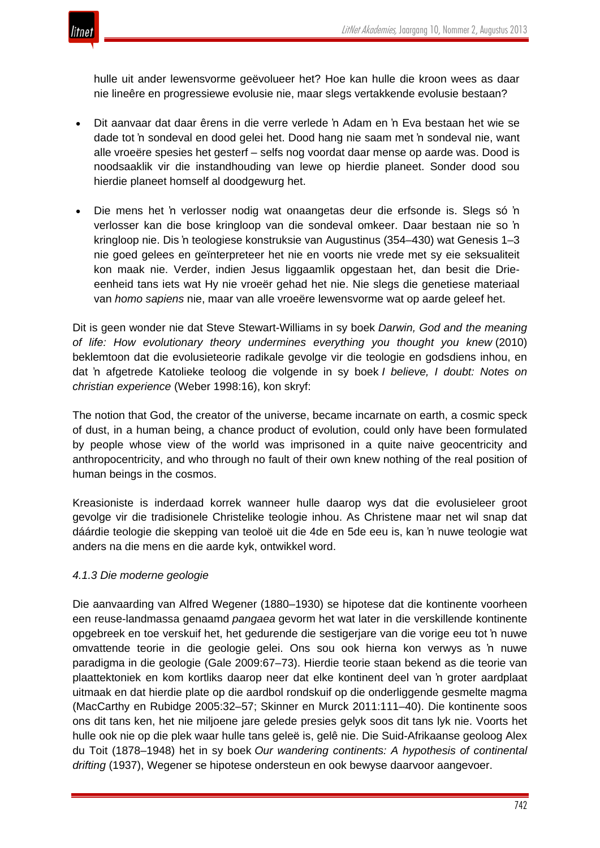

hulle uit ander lewensvorme geëvolueer het? Hoe kan hulle die kroon wees as daar nie lineêre en progressiewe evolusie nie, maar slegs vertakkende evolusie bestaan?

- Dit aanvaar dat daar êrens in die verre verlede 'n Adam en 'n Eva bestaan het wie se dade tot 'n sondeval en dood gelei het. Dood hang nie saam met 'n sondeval nie, want alle vroeëre spesies het gesterf – selfs nog voordat daar mense op aarde was. Dood is noodsaaklik vir die instandhouding van lewe op hierdie planeet. Sonder dood sou hierdie planeet homself al doodgewurg het.
- Die mens het 'n verlosser nodig wat onaangetas deur die erfsonde is. Slegs só 'n verlosser kan die bose kringloop van die sondeval omkeer. Daar bestaan nie so 'n kringloop nie. Dis 'n teologiese konstruksie van Augustinus (354–430) wat Genesis 1–3 nie goed gelees en geïnterpreteer het nie en voorts nie vrede met sy eie seksualiteit kon maak nie. Verder, indien Jesus liggaamlik opgestaan het, dan besit die Drieeenheid tans iets wat Hy nie vroeër gehad het nie. Nie slegs die genetiese materiaal van *homo sapiens* nie, maar van alle vroeëre lewensvorme wat op aarde geleef het.

Dit is geen wonder nie dat Steve Stewart-Williams in sy boek *Darwin, God and the meaning of life: How evolutionary theory undermines everything you thought you knew* (2010) beklemtoon dat die evolusieteorie radikale gevolge vir die teologie en godsdiens inhou, en dat 'n afgetrede Katolieke teoloog die volgende in sy boek *I believe, I doubt: Notes on christian experience* (Weber 1998:16), kon skryf:

The notion that God, the creator of the universe, became incarnate on earth, a cosmic speck of dust, in a human being, a chance product of evolution, could only have been formulated by people whose view of the world was imprisoned in a quite naive geocentricity and anthropocentricity, and who through no fault of their own knew nothing of the real position of human beings in the cosmos.

Kreasioniste is inderdaad korrek wanneer hulle daarop wys dat die evolusieleer groot gevolge vir die tradisionele Christelike teologie inhou. As Christene maar net wil snap dat dáárdie teologie die skepping van teoloë uit die 4de en 5de eeu is, kan 'n nuwe teologie wat anders na die mens en die aarde kyk, ontwikkel word.

## *4.1.3 Die moderne geologie*

Die aanvaarding van Alfred Wegener (1880–1930) se hipotese dat die kontinente voorheen een reuse-landmassa genaamd *pangaea* gevorm het wat later in die verskillende kontinente opgebreek en toe verskuif het, het gedurende die sestigerjare van die vorige eeu tot 'n nuwe omvattende teorie in die geologie gelei. Ons sou ook hierna kon verwys as 'n nuwe paradigma in die geologie (Gale 2009:67–73). Hierdie teorie staan bekend as die teorie van plaattektoniek en kom kortliks daarop neer dat elke kontinent deel van 'n groter aardplaat uitmaak en dat hierdie plate op die aardbol rondskuif op die onderliggende gesmelte magma (MacCarthy en Rubidge 2005:32–57; Skinner en Murck 2011:111–40). Die kontinente soos ons dit tans ken, het nie miljoene jare gelede presies gelyk soos dit tans lyk nie. Voorts het hulle ook nie op die plek waar hulle tans geleë is, gelê nie. Die Suid-Afrikaanse geoloog Alex du Toit (1878–1948) het in sy boek *Our wandering continents: A hypothesis of continental drifting* (1937), Wegener se hipotese ondersteun en ook bewyse daarvoor aangevoer.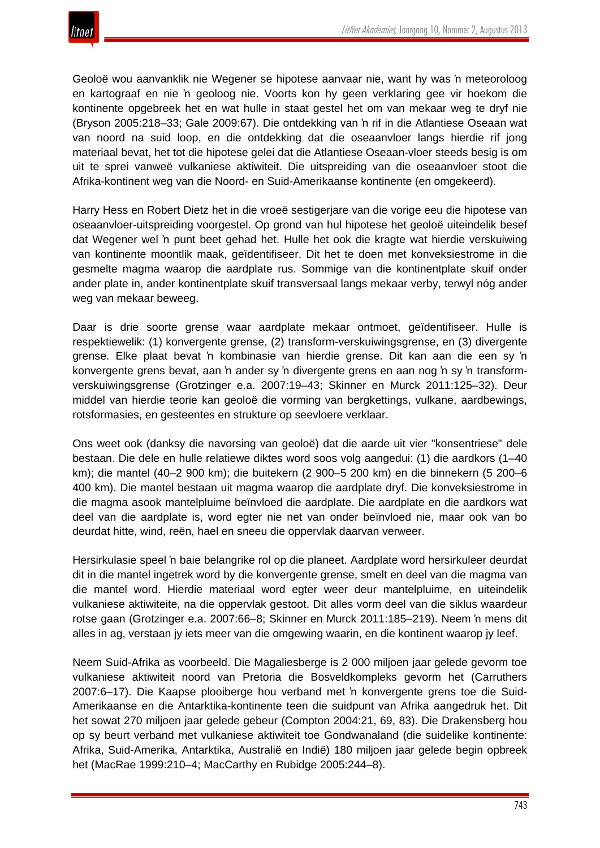Geoloë wou aanvanklik nie Wegener se hipotese aanvaar nie, want hy was 'n meteoroloog en kartograaf en nie 'n geoloog nie. Voorts kon hy geen verklaring gee vir hoekom die kontinente opgebreek het en wat hulle in staat gestel het om van mekaar weg te dryf nie (Bryson 2005:218–33; Gale 2009:67). Die ontdekking van 'n rif in die Atlantiese Oseaan wat van noord na suid loop, en die ontdekking dat die oseaanvloer langs hierdie rif jong materiaal bevat, het tot die hipotese gelei dat die Atlantiese Oseaan-vloer steeds besig is om uit te sprei vanweë vulkaniese aktiwiteit. Die uitspreiding van die oseaanvloer stoot die Afrika-kontinent weg van die Noord- en Suid-Amerikaanse kontinente (en omgekeerd).

Harry Hess en Robert Dietz het in die vroeë sestigerjare van die vorige eeu die hipotese van oseaanvloer-uitspreiding voorgestel. Op grond van hul hipotese het geoloë uiteindelik besef dat Wegener wel 'n punt beet gehad het. Hulle het ook die kragte wat hierdie verskuiwing van kontinente moontlik maak, geïdentifiseer. Dit het te doen met konveksiestrome in die gesmelte magma waarop die aardplate rus. Sommige van die kontinentplate skuif onder ander plate in, ander kontinentplate skuif transversaal langs mekaar verby, terwyl nóg ander weg van mekaar beweeg.

Daar is drie soorte grense waar aardplate mekaar ontmoet, geïdentifiseer. Hulle is respektiewelik: (1) konvergente grense, (2) transform-verskuiwingsgrense, en (3) divergente grense. Elke plaat bevat 'n kombinasie van hierdie grense. Dit kan aan die een sy 'n konvergente grens bevat, aan 'n ander sy 'n divergente grens en aan nog 'n sy 'n transformverskuiwingsgrense (Grotzinger e.a. 2007:19–43; Skinner en Murck 2011:125–32). Deur middel van hierdie teorie kan geoloë die vorming van bergkettings, vulkane, aardbewings, rotsformasies, en gesteentes en strukture op seevloere verklaar.

Ons weet ook (danksy die navorsing van geoloë) dat die aarde uit vier "konsentriese" dele bestaan. Die dele en hulle relatiewe diktes word soos volg aangedui: (1) die aardkors (1–40 km); die mantel (40–2 900 km); die buitekern (2 900–5 200 km) en die binnekern (5 200–6 400 km). Die mantel bestaan uit magma waarop die aardplate dryf. Die konveksiestrome in die magma asook mantelpluime beïnvloed die aardplate. Die aardplate en die aardkors wat deel van die aardplate is, word egter nie net van onder beïnvloed nie, maar ook van bo deurdat hitte, wind, reën, hael en sneeu die oppervlak daarvan verweer.

Hersirkulasie speel 'n baie belangrike rol op die planeet. Aardplate word hersirkuleer deurdat dit in die mantel ingetrek word by die konvergente grense, smelt en deel van die magma van die mantel word. Hierdie materiaal word egter weer deur mantelpluime, en uiteindelik vulkaniese aktiwiteite, na die oppervlak gestoot. Dit alles vorm deel van die siklus waardeur rotse gaan (Grotzinger e.a. 2007:66–8; Skinner en Murck 2011:185–219). Neem 'n mens dit alles in ag, verstaan jy iets meer van die omgewing waarin, en die kontinent waarop jy leef.

Neem Suid-Afrika as voorbeeld. Die Magaliesberge is 2 000 miljoen jaar gelede gevorm toe vulkaniese aktiwiteit noord van Pretoria die Bosveldkompleks gevorm het (Carruthers 2007:6–17). Die Kaapse plooiberge hou verband met 'n konvergente grens toe die Suid-Amerikaanse en die Antarktika-kontinente teen die suidpunt van Afrika aangedruk het. Dit het sowat 270 miljoen jaar gelede gebeur (Compton 2004:21, 69, 83). Die Drakensberg hou op sy beurt verband met vulkaniese aktiwiteit toe Gondwanaland (die suidelike kontinente: Afrika, Suid-Amerika, Antarktika, Australië en Indië) 180 miljoen jaar gelede begin opbreek het (MacRae 1999:210–4; MacCarthy en Rubidge 2005:244–8).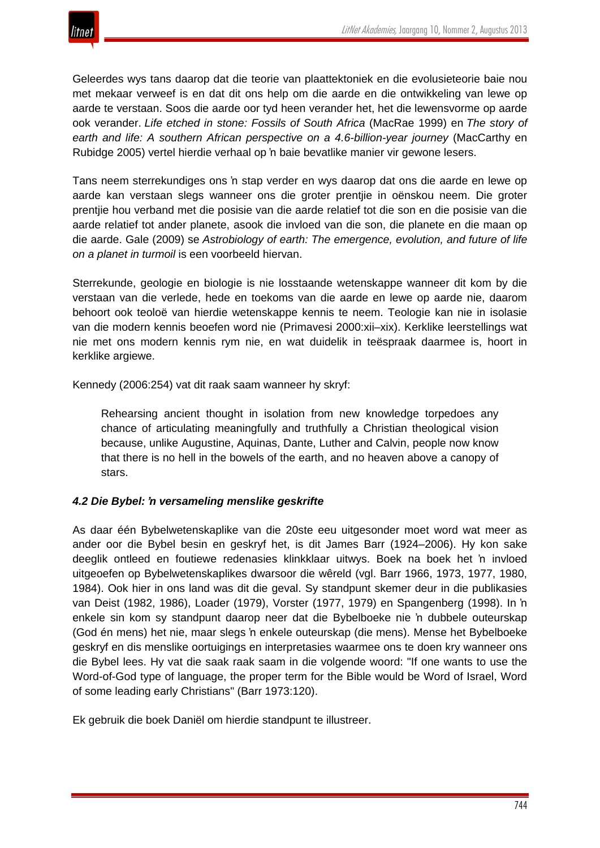

Geleerdes wys tans daarop dat die teorie van plaattektoniek en die evolusieteorie baie nou met mekaar verweef is en dat dit ons help om die aarde en die ontwikkeling van lewe op aarde te verstaan. Soos die aarde oor tyd heen verander het, het die lewensvorme op aarde ook verander. *Life etched in stone: Fossils of South Africa* (MacRae 1999) en *The story of earth and life: A southern African perspective on a 4.6-billion-year journey* (MacCarthy en Rubidge 2005) vertel hierdie verhaal op 'n baie bevatlike manier vir gewone lesers.

Tans neem sterrekundiges ons 'n stap verder en wys daarop dat ons die aarde en lewe op aarde kan verstaan slegs wanneer ons die groter prentjie in oënskou neem. Die groter prentjie hou verband met die posisie van die aarde relatief tot die son en die posisie van die aarde relatief tot ander planete, asook die invloed van die son, die planete en die maan op die aarde. Gale (2009) se *Astrobiology of earth: The emergence, evolution, and future of life on a planet in turmoil* is een voorbeeld hiervan.

Sterrekunde, geologie en biologie is nie losstaande wetenskappe wanneer dit kom by die verstaan van die verlede, hede en toekoms van die aarde en lewe op aarde nie, daarom behoort ook teoloë van hierdie wetenskappe kennis te neem. Teologie kan nie in isolasie van die modern kennis beoefen word nie (Primavesi 2000:xii–xix). Kerklike leerstellings wat nie met ons modern kennis rym nie, en wat duidelik in teëspraak daarmee is, hoort in kerklike argiewe.

Kennedy (2006:254) vat dit raak saam wanneer hy skryf:

Rehearsing ancient thought in isolation from new knowledge torpedoes any chance of articulating meaningfully and truthfully a Christian theological vision because, unlike Augustine, Aquinas, Dante, Luther and Calvin, people now know that there is no hell in the bowels of the earth, and no heaven above a canopy of stars.

## *4.2 Die Bybel: 'n versameling menslike geskrifte*

As daar één Bybelwetenskaplike van die 20ste eeu uitgesonder moet word wat meer as ander oor die Bybel besin en geskryf het, is dit James Barr (1924–2006). Hy kon sake deeglik ontleed en foutiewe redenasies klinkklaar uitwys. Boek na boek het 'n invloed uitgeoefen op Bybelwetenskaplikes dwarsoor die wêreld (vgl. Barr 1966, 1973, 1977, 1980, 1984). Ook hier in ons land was dit die geval. Sy standpunt skemer deur in die publikasies van Deist (1982, 1986), Loader (1979), Vorster (1977, 1979) en Spangenberg (1998). In 'n enkele sin kom sy standpunt daarop neer dat die Bybelboeke nie 'n dubbele outeurskap (God én mens) het nie, maar slegs 'n enkele outeurskap (die mens). Mense het Bybelboeke geskryf en dis menslike oortuigings en interpretasies waarmee ons te doen kry wanneer ons die Bybel lees. Hy vat die saak raak saam in die volgende woord: "If one wants to use the Word-of-God type of language, the proper term for the Bible would be Word of Israel, Word of some leading early Christians" (Barr 1973:120).

Ek gebruik die boek Daniël om hierdie standpunt te illustreer.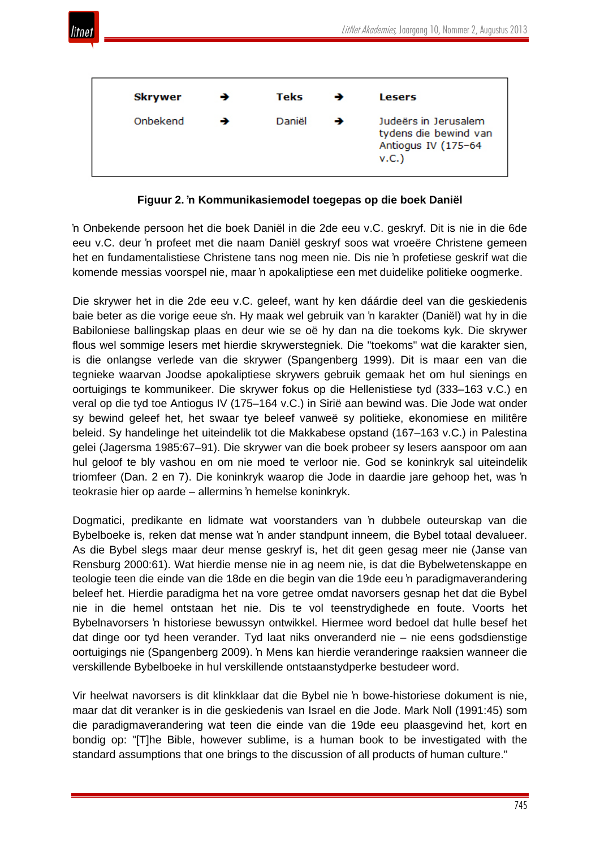

| <b>Skrywer</b> | <b>Teks</b> | <b>Lesers</b>                                                                |
|----------------|-------------|------------------------------------------------------------------------------|
| Onbekend       | Daniël      | Judeërs in Jerusalem<br>tydens die bewind van<br>Antiogus IV (175-64<br>v.C. |

**Figuur 2. 'n Kommunikasiemodel toegepas op die boek Daniël**

'n Onbekende persoon het die boek Daniël in die 2de eeu v.C. geskryf. Dit is nie in die 6de eeu v.C. deur 'n profeet met die naam Daniël geskryf soos wat vroeëre Christene gemeen het en fundamentalistiese Christene tans nog meen nie. Dis nie 'n profetiese geskrif wat die komende messias voorspel nie, maar 'n apokaliptiese een met duidelike politieke oogmerke.

Die skrywer het in die 2de eeu v.C. geleef, want hy ken dáárdie deel van die geskiedenis baie beter as die vorige eeue s'n. Hy maak wel gebruik van 'n karakter (Daniël) wat hy in die Babiloniese ballingskap plaas en deur wie se oë hy dan na die toekoms kyk. Die skrywer flous wel sommige lesers met hierdie skrywerstegniek. Die "toekoms" wat die karakter sien, is die onlangse verlede van die skrywer (Spangenberg 1999). Dit is maar een van die tegnieke waarvan Joodse apokaliptiese skrywers gebruik gemaak het om hul sienings en oortuigings te kommunikeer. Die skrywer fokus op die Hellenistiese tyd (333–163 v.C.) en veral op die tyd toe Antiogus IV (175–164 v.C.) in Sirië aan bewind was. Die Jode wat onder sy bewind geleef het, het swaar tye beleef vanweë sy politieke, ekonomiese en militêre beleid. Sy handelinge het uiteindelik tot die Makkabese opstand (167–163 v.C.) in Palestina gelei (Jagersma 1985:67–91). Die skrywer van die boek probeer sy lesers aanspoor om aan hul geloof te bly vashou en om nie moed te verloor nie. God se koninkryk sal uiteindelik triomfeer (Dan. 2 en 7). Die koninkryk waarop die Jode in daardie jare gehoop het, was 'n teokrasie hier op aarde – allermins 'n hemelse koninkryk.

Dogmatici, predikante en lidmate wat voorstanders van 'n dubbele outeurskap van die Bybelboeke is, reken dat mense wat 'n ander standpunt inneem, die Bybel totaal devalueer. As die Bybel slegs maar deur mense geskryf is, het dit geen gesag meer nie (Janse van Rensburg 2000:61). Wat hierdie mense nie in ag neem nie, is dat die Bybelwetenskappe en teologie teen die einde van die 18de en die begin van die 19de eeu 'n paradigmaverandering beleef het. Hierdie paradigma het na vore getree omdat navorsers gesnap het dat die Bybel nie in die hemel ontstaan het nie. Dis te vol teenstrydighede en foute. Voorts het Bybelnavorsers 'n historiese bewussyn ontwikkel. Hiermee word bedoel dat hulle besef het dat dinge oor tyd heen verander. Tyd laat niks onveranderd nie – nie eens godsdienstige oortuigings nie (Spangenberg 2009). 'n Mens kan hierdie veranderinge raaksien wanneer die verskillende Bybelboeke in hul verskillende ontstaanstydperke bestudeer word.

Vir heelwat navorsers is dit klinkklaar dat die Bybel nie 'n bowe-historiese dokument is nie, maar dat dit veranker is in die geskiedenis van Israel en die Jode. Mark Noll (1991:45) som die paradigmaverandering wat teen die einde van die 19de eeu plaasgevind het, kort en bondig op: "[T]he Bible, however sublime, is a human book to be investigated with the standard assumptions that one brings to the discussion of all products of human culture."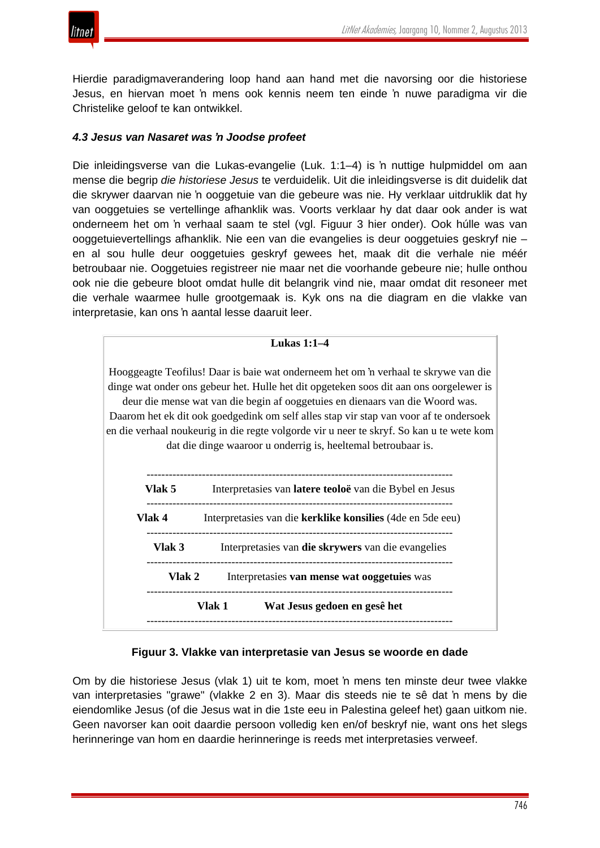Hierdie paradigmaverandering loop hand aan hand met die navorsing oor die historiese Jesus, en hiervan moet 'n mens ook kennis neem ten einde 'n nuwe paradigma vir die Christelike geloof te kan ontwikkel.

## *4.3 Jesus van Nasaret was 'n Joodse profeet*

Die inleidingsverse van die Lukas-evangelie (Luk. 1:1–4) is 'n nuttige hulpmiddel om aan mense die begrip *die historiese Jesus* te verduidelik. Uit die inleidingsverse is dit duidelik dat die skrywer daarvan nie 'n ooggetuie van die gebeure was nie. Hy verklaar uitdruklik dat hy van ooggetuies se vertellinge afhanklik was. Voorts verklaar hy dat daar ook ander is wat onderneem het om 'n verhaal saam te stel (vgl. Figuur 3 hier onder). Ook húlle was van ooggetuievertellings afhanklik. Nie een van die evangelies is deur ooggetuies geskryf nie – en al sou hulle deur ooggetuies geskryf gewees het, maak dit die verhale nie méér betroubaar nie. Ooggetuies registreer nie maar net die voorhande gebeure nie; hulle onthou ook nie die gebeure bloot omdat hulle dit belangrik vind nie, maar omdat dit resoneer met die verhale waarmee hulle grootgemaak is. Kyk ons na die diagram en die vlakke van interpretasie, kan ons 'n aantal lesse daaruit leer.



## **Figuur 3. Vlakke van interpretasie van Jesus se woorde en dade**

Om by die historiese Jesus (vlak 1) uit te kom, moet 'n mens ten minste deur twee vlakke van interpretasies "grawe" (vlakke 2 en 3). Maar dis steeds nie te sê dat 'n mens by die eiendomlike Jesus (of die Jesus wat in die 1ste eeu in Palestina geleef het) gaan uitkom nie. Geen navorser kan ooit daardie persoon volledig ken en/of beskryf nie, want ons het slegs herinneringe van hom en daardie herinneringe is reeds met interpretasies verweef.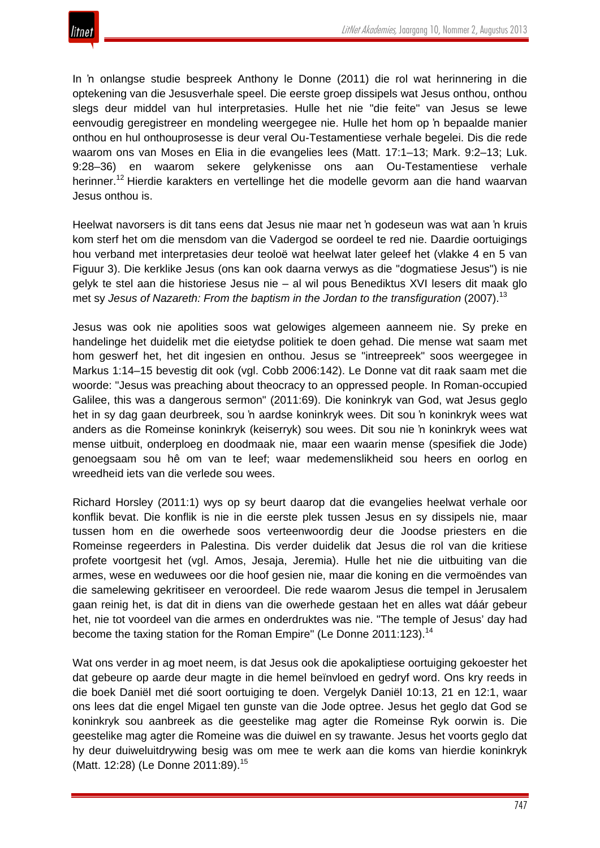

In 'n onlangse studie bespreek Anthony le Donne (2011) die rol wat herinnering in die optekening van die Jesusverhale speel. Die eerste groep dissipels wat Jesus onthou, onthou slegs deur middel van hul interpretasies. Hulle het nie "die feite" van Jesus se lewe eenvoudig geregistreer en mondeling weergegee nie. Hulle het hom op 'n bepaalde manier onthou en hul onthouprosesse is deur veral Ou-Testamentiese verhale begelei. Dis die rede waarom ons van Moses en Elia in die evangelies lees (Matt. 17:1–13; Mark. 9:2–13; Luk. 9:28–36) en waarom sekere gelykenisse ons aan Ou-Testamentiese verhale herinner.<sup>12</sup> Hierdie karakters en vertellinge het die modelle gevorm aan die hand waarvan Jesus onthou is.

Heelwat navorsers is dit tans eens dat Jesus nie maar net 'n godeseun was wat aan 'n kruis kom sterf het om die mensdom van die Vadergod se oordeel te red nie. Daardie oortuigings hou verband met interpretasies deur teoloë wat heelwat later geleef het (vlakke 4 en 5 van Figuur 3). Die kerklike Jesus (ons kan ook daarna verwys as die "dogmatiese Jesus") is nie gelyk te stel aan die historiese Jesus nie – al wil pous Benediktus XVI lesers dit maak glo met sy *Jesus of Nazareth: From the baptism in the Jordan to the transfiguration* (2007).<sup>13</sup>

Jesus was ook nie apolities soos wat gelowiges algemeen aanneem nie. Sy preke en handelinge het duidelik met die eietydse politiek te doen gehad. Die mense wat saam met hom geswerf het, het dit ingesien en onthou. Jesus se "intreepreek" soos weergegee in Markus 1:14–15 bevestig dit ook (vgl. Cobb 2006:142). Le Donne vat dit raak saam met die woorde: "Jesus was preaching about theocracy to an oppressed people. In Roman-occupied Galilee, this was a dangerous sermon" (2011:69). Die koninkryk van God, wat Jesus geglo het in sy dag gaan deurbreek, sou 'n aardse koninkryk wees. Dit sou 'n koninkryk wees wat anders as die Romeinse koninkryk (keiserryk) sou wees. Dit sou nie 'n koninkryk wees wat mense uitbuit, onderploeg en doodmaak nie, maar een waarin mense (spesifiek die Jode) genoegsaam sou hê om van te leef; waar medemenslikheid sou heers en oorlog en wreedheid iets van die verlede sou wees.

Richard Horsley (2011:1) wys op sy beurt daarop dat die evangelies heelwat verhale oor konflik bevat. Die konflik is nie in die eerste plek tussen Jesus en sy dissipels nie, maar tussen hom en die owerhede soos verteenwoordig deur die Joodse priesters en die Romeinse regeerders in Palestina. Dis verder duidelik dat Jesus die rol van die kritiese profete voortgesit het (vgl. Amos, Jesaja, Jeremia). Hulle het nie die uitbuiting van die armes, wese en weduwees oor die hoof gesien nie, maar die koning en die vermoëndes van die samelewing gekritiseer en veroordeel. Die rede waarom Jesus die tempel in Jerusalem gaan reinig het, is dat dit in diens van die owerhede gestaan het en alles wat dáár gebeur het, nie tot voordeel van die armes en onderdruktes was nie. "The temple of Jesus' day had become the taxing station for the Roman Empire" (Le Donne 2011:123).<sup>14</sup>

Wat ons verder in ag moet neem, is dat Jesus ook die apokaliptiese oortuiging gekoester het dat gebeure op aarde deur magte in die hemel beïnvloed en gedryf word. Ons kry reeds in die boek Daniël met dié soort oortuiging te doen. Vergelyk Daniël 10:13, 21 en 12:1, waar ons lees dat die engel Migael ten gunste van die Jode optree. Jesus het geglo dat God se koninkryk sou aanbreek as die geestelike mag agter die Romeinse Ryk oorwin is. Die geestelike mag agter die Romeine was die duiwel en sy trawante. Jesus het voorts geglo dat hy deur duiweluitdrywing besig was om mee te werk aan die koms van hierdie koninkryk (Matt. 12:28) (Le Donne 2011:89).<sup>15</sup>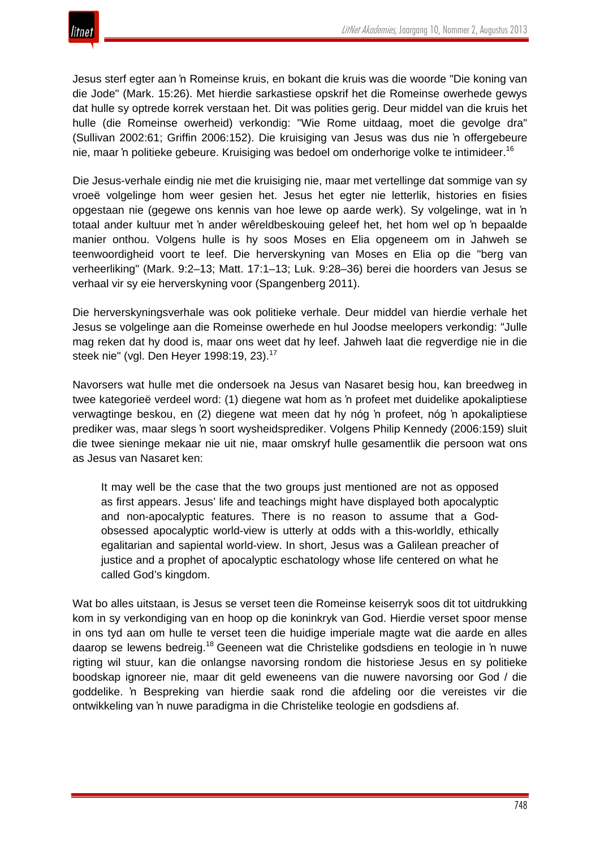Jesus sterf egter aan 'n Romeinse kruis, en bokant die kruis was die woorde "Die koning van die Jode" (Mark. 15:26). Met hierdie sarkastiese opskrif het die Romeinse owerhede gewys dat hulle sy optrede korrek verstaan het. Dit was polities gerig. Deur middel van die kruis het hulle (die Romeinse owerheid) verkondig: "Wie Rome uitdaag, moet die gevolge dra" (Sullivan 2002:61; Griffin 2006:152). Die kruisiging van Jesus was dus nie 'n offergebeure nie, maar 'n politieke gebeure. Kruisiging was bedoel om onderhorige volke te intimideer.<sup>16</sup>

Die Jesus-verhale eindig nie met die kruisiging nie, maar met vertellinge dat sommige van sy vroeë volgelinge hom weer gesien het. Jesus het egter nie letterlik, histories en fisies opgestaan nie (gegewe ons kennis van hoe lewe op aarde werk). Sy volgelinge, wat in 'n totaal ander kultuur met 'n ander wêreldbeskouing geleef het, het hom wel op 'n bepaalde manier onthou. Volgens hulle is hy soos Moses en Elia opgeneem om in Jahweh se teenwoordigheid voort te leef. Die herverskyning van Moses en Elia op die "berg van verheerliking" (Mark. 9:2–13; Matt. 17:1–13; Luk. 9:28–36) berei die hoorders van Jesus se verhaal vir sy eie herverskyning voor (Spangenberg 2011).

Die herverskyningsverhale was ook politieke verhale. Deur middel van hierdie verhale het Jesus se volgelinge aan die Romeinse owerhede en hul Joodse meelopers verkondig: "Julle mag reken dat hy dood is, maar ons weet dat hy leef. Jahweh laat die regverdige nie in die steek nie" (vgl. Den Heyer 1998:19, 23).<sup>17</sup>

Navorsers wat hulle met die ondersoek na Jesus van Nasaret besig hou, kan breedweg in twee kategorieë verdeel word: (1) diegene wat hom as 'n profeet met duidelike apokaliptiese verwagtinge beskou, en (2) diegene wat meen dat hy nóg 'n profeet, nóg 'n apokaliptiese prediker was, maar slegs 'n soort wysheidsprediker. Volgens Philip Kennedy (2006:159) sluit die twee sieninge mekaar nie uit nie, maar omskryf hulle gesamentlik die persoon wat ons as Jesus van Nasaret ken:

It may well be the case that the two groups just mentioned are not as opposed as first appears. Jesus' life and teachings might have displayed both apocalyptic and non-apocalyptic features. There is no reason to assume that a Godobsessed apocalyptic world-view is utterly at odds with a this-worldly, ethically egalitarian and sapiental world-view. In short, Jesus was a Galilean preacher of justice and a prophet of apocalyptic eschatology whose life centered on what he called God's kingdom.

Wat bo alles uitstaan, is Jesus se verset teen die Romeinse keiserryk soos dit tot uitdrukking kom in sy verkondiging van en hoop op die koninkryk van God. Hierdie verset spoor mense in ons tyd aan om hulle te verset teen die huidige imperiale magte wat die aarde en alles daarop se lewens bedreig.<sup>18</sup> Geeneen wat die Christelike godsdiens en teologie in 'n nuwe rigting wil stuur, kan die onlangse navorsing rondom die historiese Jesus en sy politieke boodskap ignoreer nie, maar dit geld eweneens van die nuwere navorsing oor God / die goddelike. 'n Bespreking van hierdie saak rond die afdeling oor die vereistes vir die ontwikkeling van 'n nuwe paradigma in die Christelike teologie en godsdiens af.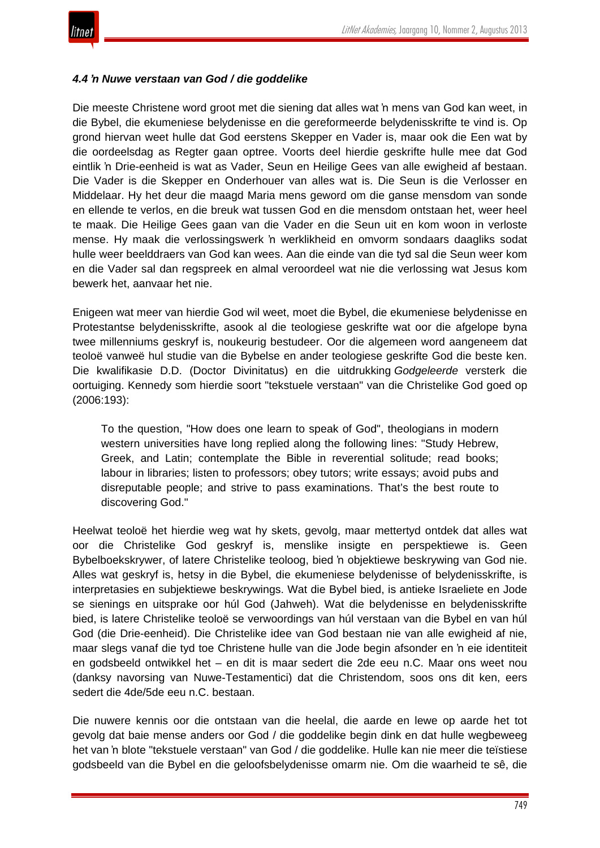

#### *4.4 'n Nuwe verstaan van God / die goddelike*

Die meeste Christene word groot met die siening dat alles wat 'n mens van God kan weet, in die Bybel, die ekumeniese belydenisse en die gereformeerde belydenisskrifte te vind is. Op grond hiervan weet hulle dat God eerstens Skepper en Vader is, maar ook die Een wat by die oordeelsdag as Regter gaan optree. Voorts deel hierdie geskrifte hulle mee dat God eintlik 'n Drie-eenheid is wat as Vader, Seun en Heilige Gees van alle ewigheid af bestaan. Die Vader is die Skepper en Onderhouer van alles wat is. Die Seun is die Verlosser en Middelaar. Hy het deur die maagd Maria mens geword om die ganse mensdom van sonde en ellende te verlos, en die breuk wat tussen God en die mensdom ontstaan het, weer heel te maak. Die Heilige Gees gaan van die Vader en die Seun uit en kom woon in verloste mense. Hy maak die verlossingswerk 'n werklikheid en omvorm sondaars daagliks sodat hulle weer beelddraers van God kan wees. Aan die einde van die tyd sal die Seun weer kom en die Vader sal dan regspreek en almal veroordeel wat nie die verlossing wat Jesus kom bewerk het, aanvaar het nie.

Enigeen wat meer van hierdie God wil weet, moet die Bybel, die ekumeniese belydenisse en Protestantse belydenisskrifte, asook al die teologiese geskrifte wat oor die afgelope byna twee millenniums geskryf is, noukeurig bestudeer. Oor die algemeen word aangeneem dat teoloë vanweë hul studie van die Bybelse en ander teologiese geskrifte God die beste ken. Die kwalifikasie D.D. (Doctor Divinitatus) en die uitdrukking *Godgeleerde* versterk die oortuiging. Kennedy som hierdie soort "tekstuele verstaan" van die Christelike God goed op (2006:193):

To the question, "How does one learn to speak of God", theologians in modern western universities have long replied along the following lines: "Study Hebrew, Greek, and Latin; contemplate the Bible in reverential solitude; read books; labour in libraries; listen to professors; obey tutors; write essays; avoid pubs and disreputable people; and strive to pass examinations. That's the best route to discovering God."

Heelwat teoloë het hierdie weg wat hy skets, gevolg, maar mettertyd ontdek dat alles wat oor die Christelike God geskryf is, menslike insigte en perspektiewe is. Geen Bybelboekskrywer, of latere Christelike teoloog, bied 'n objektiewe beskrywing van God nie. Alles wat geskryf is, hetsy in die Bybel, die ekumeniese belydenisse of belydenisskrifte, is interpretasies en subjektiewe beskrywings. Wat die Bybel bied, is antieke Israeliete en Jode se sienings en uitsprake oor húl God (Jahweh). Wat die belydenisse en belydenisskrifte bied, is latere Christelike teoloë se verwoordings van húl verstaan van die Bybel en van húl God (die Drie-eenheid). Die Christelike idee van God bestaan nie van alle ewigheid af nie, maar slegs vanaf die tyd toe Christene hulle van die Jode begin afsonder en 'n eie identiteit en godsbeeld ontwikkel het – en dit is maar sedert die 2de eeu n.C. Maar ons weet nou (danksy navorsing van Nuwe-Testamentici) dat die Christendom, soos ons dit ken, eers sedert die 4de/5de eeu n.C. bestaan.

Die nuwere kennis oor die ontstaan van die heelal, die aarde en lewe op aarde het tot gevolg dat baie mense anders oor God / die goddelike begin dink en dat hulle wegbeweeg het van 'n blote "tekstuele verstaan" van God / die goddelike. Hulle kan nie meer die teïstiese godsbeeld van die Bybel en die geloofsbelydenisse omarm nie. Om die waarheid te sê, die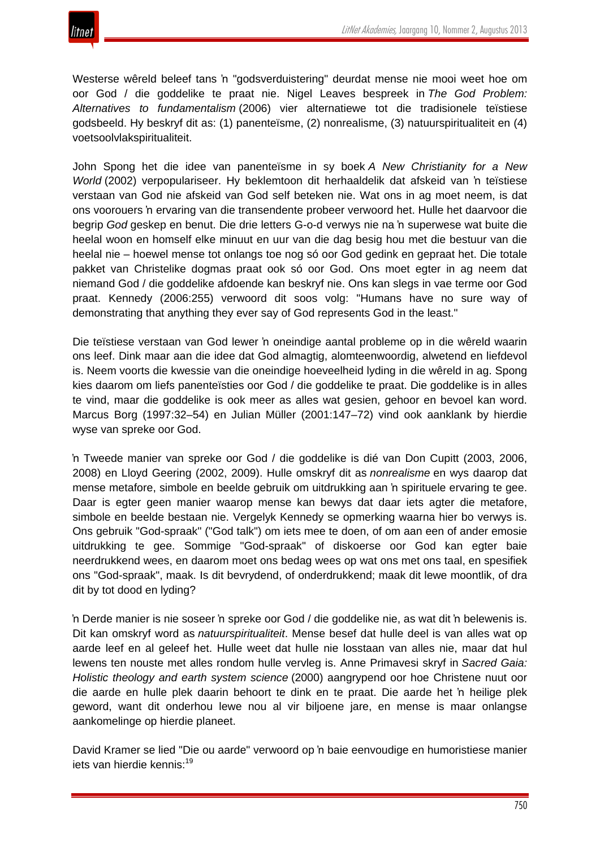

Westerse wêreld beleef tans 'n "godsverduistering" deurdat mense nie mooi weet hoe om oor God / die goddelike te praat nie. Nigel Leaves bespreek in *The God Problem: Alternatives to fundamentalism* (2006) vier alternatiewe tot die tradisionele teïstiese godsbeeld. Hy beskryf dit as: (1) panenteïsme, (2) nonrealisme, (3) natuurspiritualiteit en (4) voetsoolvlakspiritualiteit.

John Spong het die idee van panenteïsme in sy boek *A New Christianity for a New World* (2002) verpopulariseer. Hy beklemtoon dit herhaaldelik dat afskeid van 'n teïstiese verstaan van God nie afskeid van God self beteken nie. Wat ons in ag moet neem, is dat ons voorouers 'n ervaring van die transendente probeer verwoord het. Hulle het daarvoor die begrip *God* geskep en benut. Die drie letters G-o-d verwys nie na 'n superwese wat buite die heelal woon en homself elke minuut en uur van die dag besig hou met die bestuur van die heelal nie – hoewel mense tot onlangs toe nog só oor God gedink en gepraat het. Die totale pakket van Christelike dogmas praat ook só oor God. Ons moet egter in ag neem dat niemand God / die goddelike afdoende kan beskryf nie. Ons kan slegs in vae terme oor God praat. Kennedy (2006:255) verwoord dit soos volg: "Humans have no sure way of demonstrating that anything they ever say of God represents God in the least."

Die teïstiese verstaan van God lewer 'n oneindige aantal probleme op in die wêreld waarin ons leef. Dink maar aan die idee dat God almagtig, alomteenwoordig, alwetend en liefdevol is. Neem voorts die kwessie van die oneindige hoeveelheid lyding in die wêreld in ag. Spong kies daarom om liefs panenteïsties oor God / die goddelike te praat. Die goddelike is in alles te vind, maar die goddelike is ook meer as alles wat gesien, gehoor en bevoel kan word. Marcus Borg (1997:32–54) en Julian Müller (2001:147–72) vind ook aanklank by hierdie wyse van spreke oor God.

'n Tweede manier van spreke oor God / die goddelike is dié van Don Cupitt (2003, 2006, 2008) en Lloyd Geering (2002, 2009). Hulle omskryf dit as *nonrealisme* en wys daarop dat mense metafore, simbole en beelde gebruik om uitdrukking aan 'n spirituele ervaring te gee. Daar is egter geen manier waarop mense kan bewys dat daar iets agter die metafore, simbole en beelde bestaan nie. Vergelyk Kennedy se opmerking waarna hier bo verwys is. Ons gebruik "God-spraak" ("God talk") om iets mee te doen, of om aan een of ander emosie uitdrukking te gee. Sommige "God-spraak" of diskoerse oor God kan egter baie neerdrukkend wees, en daarom moet ons bedag wees op wat ons met ons taal, en spesifiek ons "God-spraak", maak. Is dit bevrydend, of onderdrukkend; maak dit lewe moontlik, of dra dit by tot dood en lyding?

'n Derde manier is nie soseer 'n spreke oor God / die goddelike nie, as wat dit 'n belewenis is. Dit kan omskryf word as *natuurspiritualiteit*. Mense besef dat hulle deel is van alles wat op aarde leef en al geleef het. Hulle weet dat hulle nie losstaan van alles nie, maar dat hul lewens ten nouste met alles rondom hulle vervleg is. Anne Primavesi skryf in *Sacred Gaia: Holistic theology and earth system science* (2000) aangrypend oor hoe Christene nuut oor die aarde en hulle plek daarin behoort te dink en te praat. Die aarde het 'n heilige plek geword, want dit onderhou lewe nou al vir biljoene jare, en mense is maar onlangse aankomelinge op hierdie planeet.

David Kramer se lied "Die ou aarde" verwoord op 'n baie eenvoudige en humoristiese manier iets van hierdie kennis:<sup>19</sup>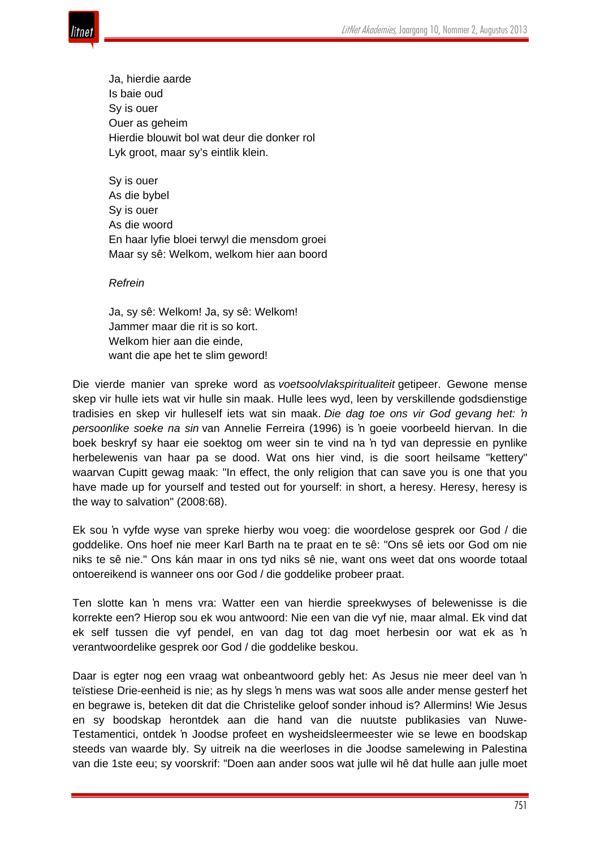

Ja, hierdie aarde Is baie oud Sy is ouer Ouer as geheim Hierdie blouwit bol wat deur die donker rol Lyk groot, maar sy's eintlik klein.

Sy is ouer As die bybel Sy is ouer As die woord En haar lyfie bloei terwyl die mensdom groei Maar sy sê: Welkom, welkom hier aan boord

*Refrein*

Ja, sy sê: Welkom! Ja, sy sê: Welkom! Jammer maar die rit is so kort. Welkom hier aan die einde, want die ape het te slim geword!

Die vierde manier van spreke word as *voetsoolvlakspiritualiteit* getipeer. Gewone mense skep vir hulle iets wat vir hulle sin maak. Hulle lees wyd, leen by verskillende godsdienstige tradisies en skep vir hulleself iets wat sin maak. *Die dag toe ons vir God gevang het: 'n persoonlike soeke na sin* van Annelie Ferreira (1996) is 'n goeie voorbeeld hiervan. In die boek beskryf sy haar eie soektog om weer sin te vind na 'n tyd van depressie en pynlike herbelewenis van haar pa se dood. Wat ons hier vind, is die soort heilsame "kettery" waarvan Cupitt gewag maak: "In effect, the only religion that can save you is one that you have made up for yourself and tested out for yourself: in short, a heresy. Heresy, heresy is the way to salvation" (2008:68).

Ek sou 'n vyfde wyse van spreke hierby wou voeg: die woordelose gesprek oor God / die goddelike. Ons hoef nie meer Karl Barth na te praat en te sê: "Ons sê iets oor God om nie niks te sê nie." Ons kán maar in ons tyd niks sê nie, want ons weet dat ons woorde totaal ontoereikend is wanneer ons oor God / die goddelike probeer praat.

Ten slotte kan 'n mens vra: Watter een van hierdie spreekwyses of belewenisse is die korrekte een? Hierop sou ek wou antwoord: Nie een van die vyf nie, maar almal. Ek vind dat ek self tussen die vyf pendel, en van dag tot dag moet herbesin oor wat ek as 'n verantwoordelike gesprek oor God / die goddelike beskou.

Daar is egter nog een vraag wat onbeantwoord gebly het: As Jesus nie meer deel van 'n teïstiese Drie-eenheid is nie; as hy slegs 'n mens was wat soos alle ander mense gesterf het en begrawe is, beteken dit dat die Christelike geloof sonder inhoud is? Allermins! Wie Jesus en sy boodskap herontdek aan die hand van die nuutste publikasies van Nuwe-Testamentici, ontdek 'n Joodse profeet en wysheidsleermeester wie se lewe en boodskap steeds van waarde bly. Sy uitreik na die weerloses in die Joodse samelewing in Palestina van die 1ste eeu; sy voorskrif: "Doen aan ander soos wat julle wil hê dat hulle aan julle moet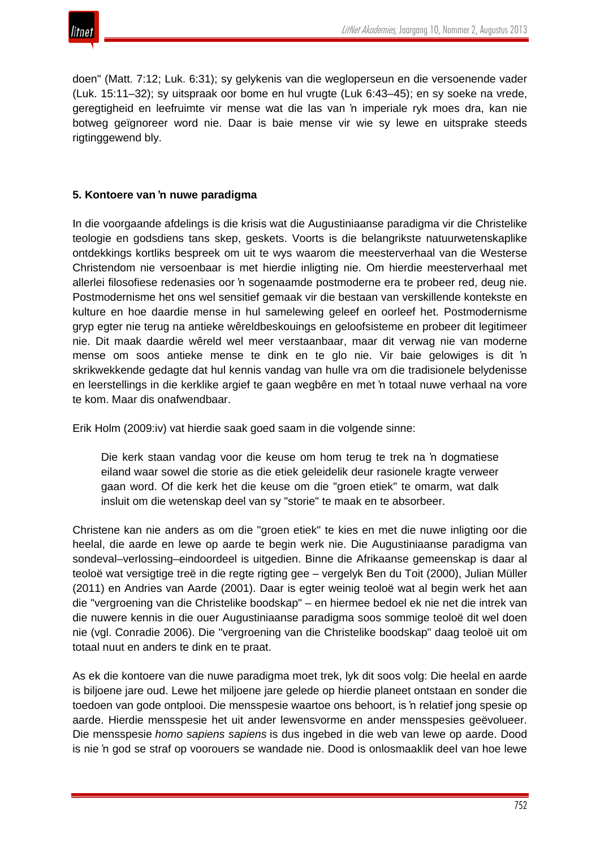

doen" (Matt. 7:12; Luk. 6:31); sy gelykenis van die wegloperseun en die versoenende vader (Luk. 15:11–32); sy uitspraak oor bome en hul vrugte (Luk 6:43–45); en sy soeke na vrede, geregtigheid en leefruimte vir mense wat die las van 'n imperiale ryk moes dra, kan nie botweg geïgnoreer word nie. Daar is baie mense vir wie sy lewe en uitsprake steeds rigtinggewend bly.

## **5. Kontoere van 'n nuwe paradigma**

In die voorgaande afdelings is die krisis wat die Augustiniaanse paradigma vir die Christelike teologie en godsdiens tans skep, geskets. Voorts is die belangrikste natuurwetenskaplike ontdekkings kortliks bespreek om uit te wys waarom die meesterverhaal van die Westerse Christendom nie versoenbaar is met hierdie inligting nie. Om hierdie meesterverhaal met allerlei filosofiese redenasies oor 'n sogenaamde postmoderne era te probeer red, deug nie. Postmodernisme het ons wel sensitief gemaak vir die bestaan van verskillende kontekste en kulture en hoe daardie mense in hul samelewing geleef en oorleef het. Postmodernisme gryp egter nie terug na antieke wêreldbeskouings en geloofsisteme en probeer dit legitimeer nie. Dit maak daardie wêreld wel meer verstaanbaar, maar dit verwag nie van moderne mense om soos antieke mense te dink en te glo nie. Vir baie gelowiges is dit 'n skrikwekkende gedagte dat hul kennis vandag van hulle vra om die tradisionele belydenisse en leerstellings in die kerklike argief te gaan wegbêre en met 'n totaal nuwe verhaal na vore te kom. Maar dis onafwendbaar.

Erik Holm (2009:iv) vat hierdie saak goed saam in die volgende sinne:

Die kerk staan vandag voor die keuse om hom terug te trek na 'n dogmatiese eiland waar sowel die storie as die etiek geleidelik deur rasionele kragte verweer gaan word. Of die kerk het die keuse om die "groen etiek" te omarm, wat dalk insluit om die wetenskap deel van sy "storie" te maak en te absorbeer.

Christene kan nie anders as om die "groen etiek" te kies en met die nuwe inligting oor die heelal, die aarde en lewe op aarde te begin werk nie. Die Augustiniaanse paradigma van sondeval–verlossing–eindoordeel is uitgedien. Binne die Afrikaanse gemeenskap is daar al teoloë wat versigtige treë in die regte rigting gee – vergelyk Ben du Toit (2000), Julian Müller (2011) en Andries van Aarde (2001). Daar is egter weinig teoloë wat al begin werk het aan die "vergroening van die Christelike boodskap" – en hiermee bedoel ek nie net die intrek van die nuwere kennis in die ouer Augustiniaanse paradigma soos sommige teoloë dit wel doen nie (vgl. Conradie 2006). Die "vergroening van die Christelike boodskap" daag teoloë uit om totaal nuut en anders te dink en te praat.

As ek die kontoere van die nuwe paradigma moet trek, lyk dit soos volg: Die heelal en aarde is biljoene jare oud. Lewe het miljoene jare gelede op hierdie planeet ontstaan en sonder die toedoen van gode ontplooi. Die mensspesie waartoe ons behoort, is 'n relatief jong spesie op aarde. Hierdie mensspesie het uit ander lewensvorme en ander mensspesies geëvolueer. Die mensspesie *homo sapiens sapiens* is dus ingebed in die web van lewe op aarde. Dood is nie 'n god se straf op voorouers se wandade nie. Dood is onlosmaaklik deel van hoe lewe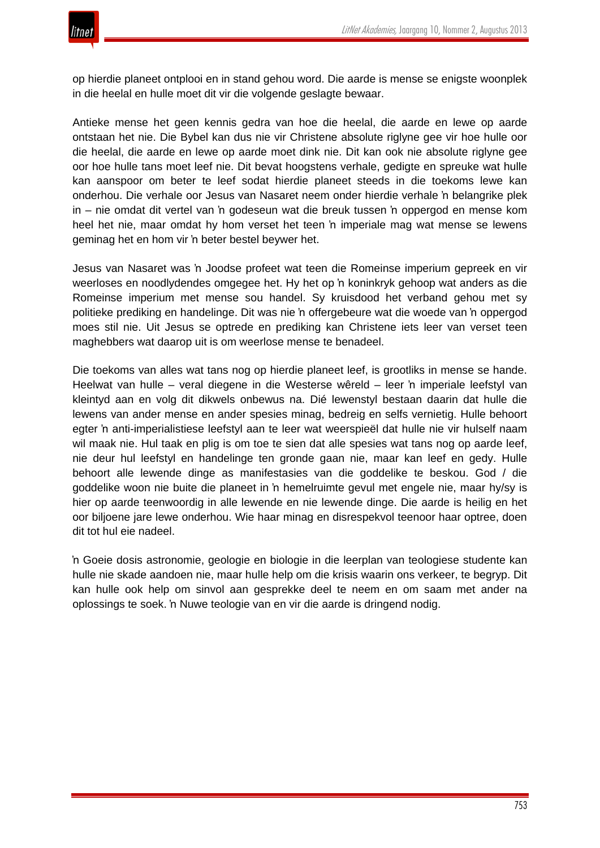

op hierdie planeet ontplooi en in stand gehou word. Die aarde is mense se enigste woonplek in die heelal en hulle moet dit vir die volgende geslagte bewaar.

Antieke mense het geen kennis gedra van hoe die heelal, die aarde en lewe op aarde ontstaan het nie. Die Bybel kan dus nie vir Christene absolute riglyne gee vir hoe hulle oor die heelal, die aarde en lewe op aarde moet dink nie. Dit kan ook nie absolute riglyne gee oor hoe hulle tans moet leef nie. Dit bevat hoogstens verhale, gedigte en spreuke wat hulle kan aanspoor om beter te leef sodat hierdie planeet steeds in die toekoms lewe kan onderhou. Die verhale oor Jesus van Nasaret neem onder hierdie verhale 'n belangrike plek in – nie omdat dit vertel van 'n godeseun wat die breuk tussen 'n oppergod en mense kom heel het nie, maar omdat hy hom verset het teen 'n imperiale mag wat mense se lewens geminag het en hom vir 'n beter bestel beywer het.

Jesus van Nasaret was 'n Joodse profeet wat teen die Romeinse imperium gepreek en vir weerloses en noodlydendes omgegee het. Hy het op 'n koninkryk gehoop wat anders as die Romeinse imperium met mense sou handel. Sy kruisdood het verband gehou met sy politieke prediking en handelinge. Dit was nie 'n offergebeure wat die woede van 'n oppergod moes stil nie. Uit Jesus se optrede en prediking kan Christene iets leer van verset teen maghebbers wat daarop uit is om weerlose mense te benadeel.

Die toekoms van alles wat tans nog op hierdie planeet leef, is grootliks in mense se hande. Heelwat van hulle – veral diegene in die Westerse wêreld – leer 'n imperiale leefstyl van kleintyd aan en volg dit dikwels onbewus na. Dié lewenstyl bestaan daarin dat hulle die lewens van ander mense en ander spesies minag, bedreig en selfs vernietig. Hulle behoort egter 'n anti-imperialistiese leefstyl aan te leer wat weerspieël dat hulle nie vir hulself naam wil maak nie. Hul taak en plig is om toe te sien dat alle spesies wat tans nog op aarde leef, nie deur hul leefstyl en handelinge ten gronde gaan nie, maar kan leef en gedy. Hulle behoort alle lewende dinge as manifestasies van die goddelike te beskou. God / die goddelike woon nie buite die planeet in 'n hemelruimte gevul met engele nie, maar hy/sy is hier op aarde teenwoordig in alle lewende en nie lewende dinge. Die aarde is heilig en het oor biljoene jare lewe onderhou. Wie haar minag en disrespekvol teenoor haar optree, doen dit tot hul eie nadeel.

'n Goeie dosis astronomie, geologie en biologie in die leerplan van teologiese studente kan hulle nie skade aandoen nie, maar hulle help om die krisis waarin ons verkeer, te begryp. Dit kan hulle ook help om sinvol aan gesprekke deel te neem en om saam met ander na oplossings te soek. 'n Nuwe teologie van en vir die aarde is dringend nodig.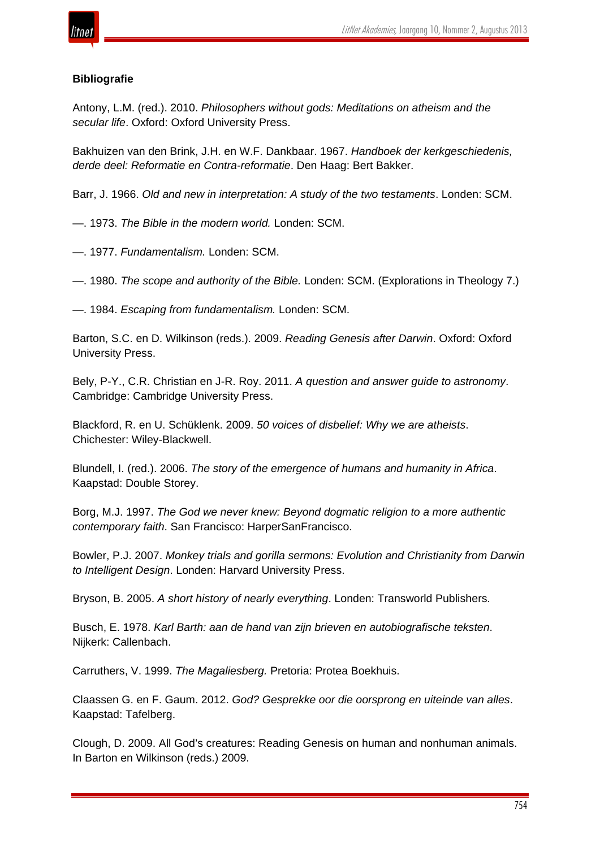

## **Bibliografie**

Antony, L.M. (red.). 2010. *Philosophers without gods: Meditations on atheism and the secular life*. Oxford: Oxford University Press.

Bakhuizen van den Brink, J.H. en W.F. Dankbaar. 1967. *Handboek der kerkgeschiedenis, derde deel: Reformatie en Contra-reformatie*. Den Haag: Bert Bakker.

Barr, J. 1966. *Old and new in interpretation: A study of the two testaments*. Londen: SCM.

—. 1973. *The Bible in the modern world.* Londen: SCM.

—. 1977. *Fundamentalism.* Londen: SCM.

—. 1980. *The scope and authority of the Bible.* Londen: SCM. (Explorations in Theology 7.)

—. 1984. *Escaping from fundamentalism.* Londen: SCM.

Barton, S.C. en D. Wilkinson (reds.). 2009. *Reading Genesis after Darwin*. Oxford: Oxford University Press.

Bely, P-Y., C.R. Christian en J-R. Roy. 2011. *A question and answer guide to astronomy*. Cambridge: Cambridge University Press.

Blackford, R. en U. Schüklenk. 2009. *50 voices of disbelief: Why we are atheists*. Chichester: Wiley-Blackwell.

Blundell, I. (red.). 2006. *The story of the emergence of humans and humanity in Africa*. Kaapstad: Double Storey.

Borg, M.J. 1997. *The God we never knew: Beyond dogmatic religion to a more authentic contemporary faith*. San Francisco: HarperSanFrancisco.

Bowler, P.J. 2007. *Monkey trials and gorilla sermons: Evolution and Christianity from Darwin to Intelligent Design*. Londen: Harvard University Press.

Bryson, B. 2005. *A short history of nearly everything*. Londen: Transworld Publishers.

Busch, E. 1978. *Karl Barth: aan de hand van zijn brieven en autobiografische teksten*. Nijkerk: Callenbach.

Carruthers, V. 1999. *The Magaliesberg.* Pretoria: Protea Boekhuis.

Claassen G. en F. Gaum. 2012. *God? Gesprekke oor die oorsprong en uiteinde van alles*. Kaapstad: Tafelberg.

Clough, D. 2009. All God's creatures: Reading Genesis on human and nonhuman animals. In Barton en Wilkinson (reds.) 2009.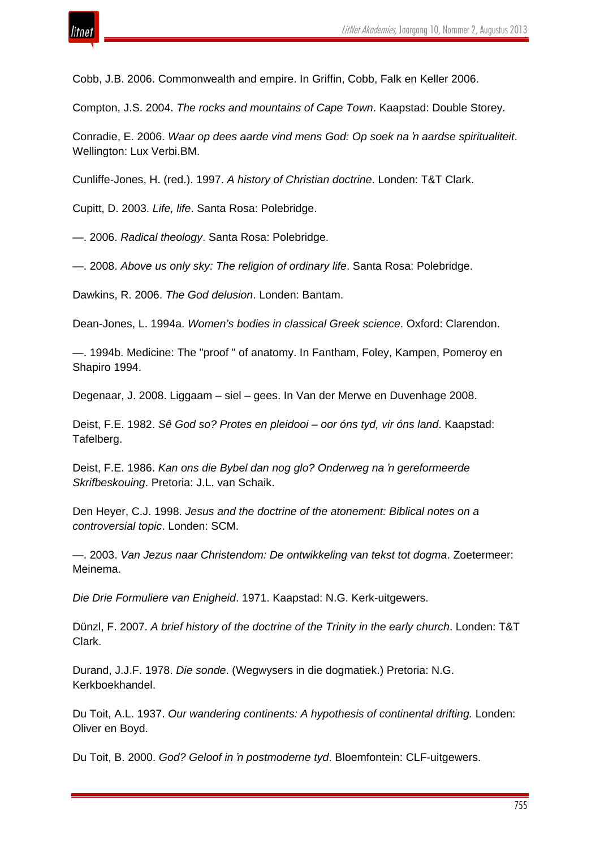

Cobb, J.B. 2006. Commonwealth and empire. In Griffin, Cobb, Falk en Keller 2006.

Compton, J.S. 2004. *The rocks and mountains of Cape Town*. Kaapstad: Double Storey.

Conradie, E. 2006. *Waar op dees aarde vind mens God: Op soek na 'n aardse spiritualiteit*. Wellington: Lux Verbi.BM.

Cunliffe-Jones, H. (red.). 1997. *A history of Christian doctrine*. Londen: T&T Clark.

Cupitt, D. 2003. *Life, life*. Santa Rosa: Polebridge.

—. 2006. *Radical theology*. Santa Rosa: Polebridge.

—. 2008. *Above us only sky: The religion of ordinary life*. Santa Rosa: Polebridge.

Dawkins, R. 2006. *The God delusion*. Londen: Bantam.

Dean-Jones, L. 1994a. *Women's bodies in classical Greek science*. Oxford: Clarendon.

—. 1994b. Medicine: The "proof " of anatomy. In Fantham, Foley, Kampen, Pomeroy en Shapiro 1994.

Degenaar, J. 2008. Liggaam – siel – gees. In Van der Merwe en Duvenhage 2008.

Deist, F.E. 1982. *Sê God so? Protes en pleidooi – oor óns tyd, vir óns land*. Kaapstad: Tafelberg.

Deist, F.E. 1986. *Kan ons die Bybel dan nog glo? Onderweg na 'n gereformeerde Skrifbeskouing*. Pretoria: J.L. van Schaik.

Den Heyer, C.J. 1998. *Jesus and the doctrine of the atonement: Biblical notes on a controversial topic*. Londen: SCM.

—. 2003. *Van Jezus naar Christendom: De ontwikkeling van tekst tot dogma*. Zoetermeer: Meinema.

*Die Drie Formuliere van Enigheid*. 1971. Kaapstad: N.G. Kerk-uitgewers.

Dünzl, F. 2007. *A brief history of the doctrine of the Trinity in the early church*. Londen: T&T Clark.

Durand, J.J.F. 1978. *Die sonde*. (Wegwysers in die dogmatiek.) Pretoria: N.G. Kerkboekhandel.

Du Toit, A.L. 1937. *Our wandering continents: A hypothesis of continental drifting.* Londen: Oliver en Boyd.

Du Toit, B. 2000. *God? Geloof in 'n postmoderne tyd*. Bloemfontein: CLF-uitgewers.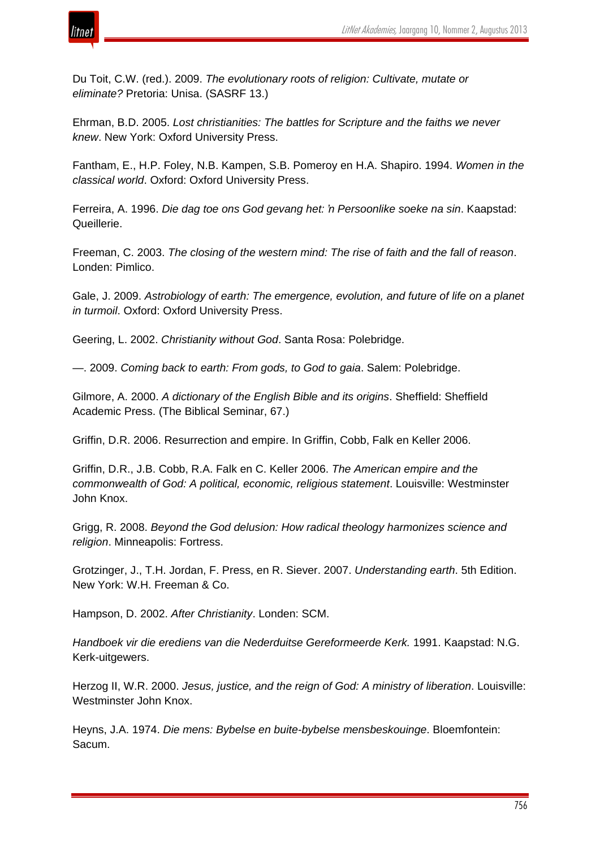

Du Toit, C.W. (red.). 2009. *The evolutionary roots of religion: Cultivate, mutate or eliminate?* Pretoria: Unisa. (SASRF 13.)

Ehrman, B.D. 2005. *Lost christianities: The battles for Scripture and the faiths we never knew*. New York: Oxford University Press.

Fantham, E., H.P. Foley, N.B. Kampen, S.B. Pomeroy en H.A. Shapiro. 1994. *Women in the classical world*. Oxford: Oxford University Press.

Ferreira, A. 1996. *Die dag toe ons God gevang het: 'n Persoonlike soeke na sin*. Kaapstad: Queillerie.

Freeman, C. 2003. *The closing of the western mind: The rise of faith and the fall of reason*. Londen: Pimlico.

Gale, J. 2009. *Astrobiology of earth: The emergence, evolution, and future of life on a planet in turmoil*. Oxford: Oxford University Press.

Geering, L. 2002. *Christianity without God*. Santa Rosa: Polebridge.

—. 2009. *Coming back to earth: From gods, to God to gaia*. Salem: Polebridge.

Gilmore, A. 2000. *A dictionary of the English Bible and its origins*. Sheffield: Sheffield Academic Press. (The Biblical Seminar, 67.)

Griffin, D.R. 2006. Resurrection and empire. In Griffin, Cobb, Falk en Keller 2006.

Griffin, D.R., J.B. Cobb, R.A. Falk en C. Keller 2006. *The American empire and the commonwealth of God: A political, economic, religious statement*. Louisville: Westminster John Knox.

Grigg, R. 2008. *Beyond the God delusion: How radical theology harmonizes science and religion*. Minneapolis: Fortress.

Grotzinger, J., T.H. Jordan, F. Press, en R. Siever. 2007. *Understanding earth*. 5th Edition. New York: W.H. Freeman & Co.

Hampson, D. 2002. *After Christianity*. Londen: SCM.

*Handboek vir die erediens van die Nederduitse Gereformeerde Kerk.* 1991. Kaapstad: N.G. Kerk-uitgewers.

Herzog II, W.R. 2000. *Jesus, justice, and the reign of God: A ministry of liberation*. Louisville: Westminster John Knox.

Heyns, J.A. 1974. *Die mens: Bybelse en buite-bybelse mensbeskouinge*. Bloemfontein: Sacum.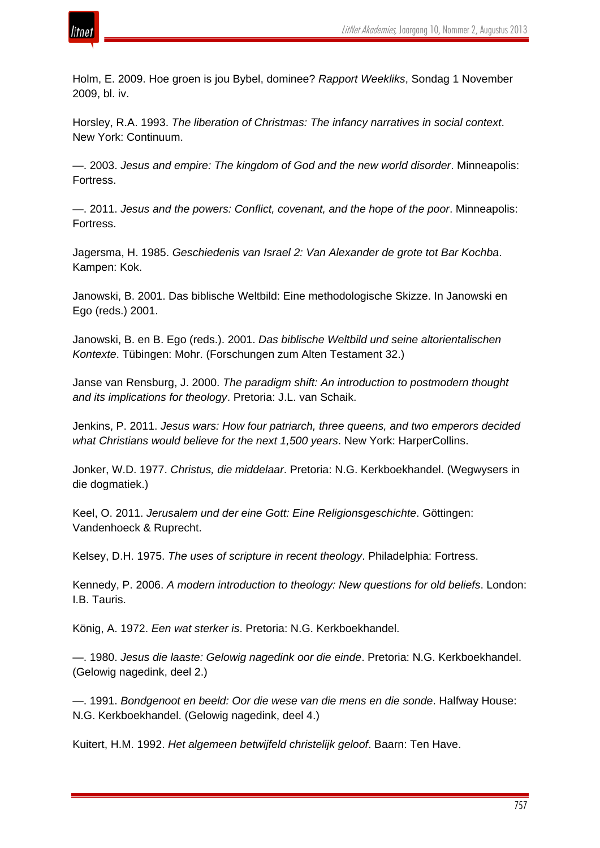

Holm, E. 2009. Hoe groen is jou Bybel, dominee? *Rapport Weekliks*, Sondag 1 November 2009, bl. iv.

Horsley, R.A. 1993. *The liberation of Christmas: The infancy narratives in social context*. New York: Continuum.

—. 2003. *Jesus and empire: The kingdom of God and the new world disorder*. Minneapolis: Fortress.

—. 2011. *Jesus and the powers: Conflict, covenant, and the hope of the poor*. Minneapolis: Fortress.

Jagersma, H. 1985. *Geschiedenis van Israel 2: Van Alexander de grote tot Bar Kochba*. Kampen: Kok.

Janowski, B. 2001. Das biblische Weltbild: Eine methodologische Skizze. In Janowski en Ego (reds.) 2001.

Janowski, B. en B. Ego (reds.). 2001. *Das biblische Weltbild und seine altorientalischen Kontexte*. Tübingen: Mohr. (Forschungen zum Alten Testament 32.)

Janse van Rensburg, J. 2000. *The paradigm shift: An introduction to postmodern thought and its implications for theology*. Pretoria: J.L. van Schaik.

Jenkins, P. 2011. *Jesus wars: How four patriarch, three queens, and two emperors decided what Christians would believe for the next 1,500 years*. New York: HarperCollins.

Jonker, W.D. 1977. *Christus, die middelaar*. Pretoria: N.G. Kerkboekhandel. (Wegwysers in die dogmatiek.)

Keel, O. 2011. *Jerusalem und der eine Gott: Eine Religionsgeschichte*. Göttingen: Vandenhoeck & Ruprecht.

Kelsey, D.H. 1975. *The uses of scripture in recent theology*. Philadelphia: Fortress.

Kennedy, P. 2006. *A modern introduction to theology: New questions for old beliefs*. London: I.B. Tauris.

König, A. 1972. *Een wat sterker is*. Pretoria: N.G. Kerkboekhandel.

—. 1980. *Jesus die laaste: Gelowig nagedink oor die einde*. Pretoria: N.G. Kerkboekhandel. (Gelowig nagedink, deel 2.)

—. 1991. *Bondgenoot en beeld: Oor die wese van die mens en die sonde*. Halfway House: N.G. Kerkboekhandel. (Gelowig nagedink, deel 4.)

Kuitert, H.M. 1992. *Het algemeen betwijfeld christelijk geloof*. Baarn: Ten Have.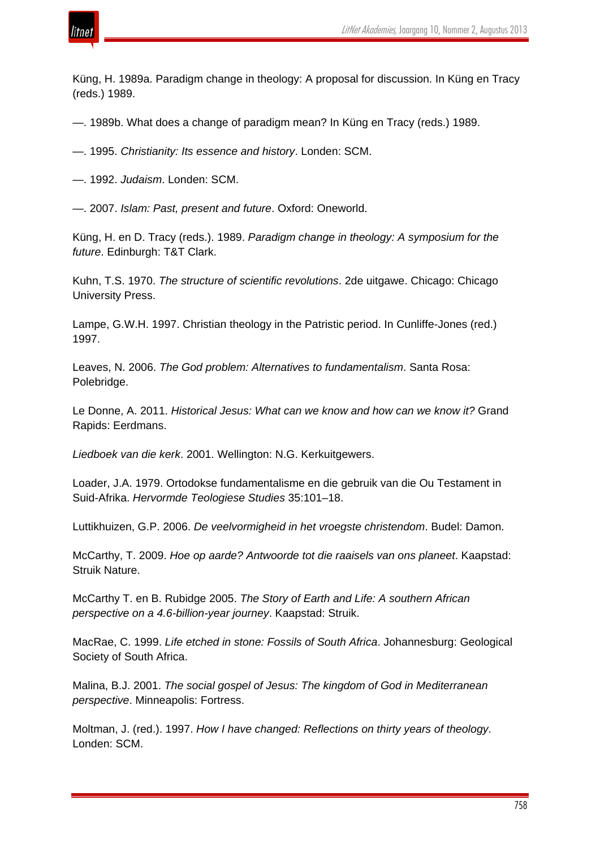

Küng, H. 1989a. Paradigm change in theology: A proposal for discussion. In Küng en Tracy (reds.) 1989.

- —. 1989b. What does a change of paradigm mean? In Küng en Tracy (reds.) 1989.
- —. 1995. *Christianity: Its essence and history*. Londen: SCM.
- —. 1992. *Judaism*. Londen: SCM.

—. 2007. *Islam: Past, present and future*. Oxford: Oneworld.

Küng, H. en D. Tracy (reds.). 1989. *Paradigm change in theology: A symposium for the future*. Edinburgh: T&T Clark.

Kuhn, T.S. 1970. *The structure of scientific revolutions*. 2de uitgawe. Chicago: Chicago University Press.

Lampe, G.W.H. 1997. Christian theology in the Patristic period. In Cunliffe-Jones (red.) 1997.

Leaves, N. 2006. *The God problem: Alternatives to fundamentalism*. Santa Rosa: Polebridge.

Le Donne, A. 2011. *Historical Jesus: What can we know and how can we know it?* Grand Rapids: Eerdmans.

*Liedboek van die kerk*. 2001. Wellington: N.G. Kerkuitgewers.

Loader, J.A. 1979. Ortodokse fundamentalisme en die gebruik van die Ou Testament in Suid-Afrika. *Hervormde Teologiese Studies* 35:101–18.

Luttikhuizen, G.P. 2006. *De veelvormigheid in het vroegste christendom*. Budel: Damon.

McCarthy, T. 2009. *Hoe op aarde? Antwoorde tot die raaisels van ons planeet*. Kaapstad: Struik Nature.

McCarthy T. en B. Rubidge 2005. *The Story of Earth and Life: A southern African perspective on a 4.6-billion-year journey*. Kaapstad: Struik.

MacRae, C. 1999. *Life etched in stone: Fossils of South Africa*. Johannesburg: Geological Society of South Africa.

Malina, B.J. 2001. *The social gospel of Jesus: The kingdom of God in Mediterranean perspective*. Minneapolis: Fortress.

Moltman, J. (red.). 1997. *How I have changed: Reflections on thirty years of theology*. Londen: SCM.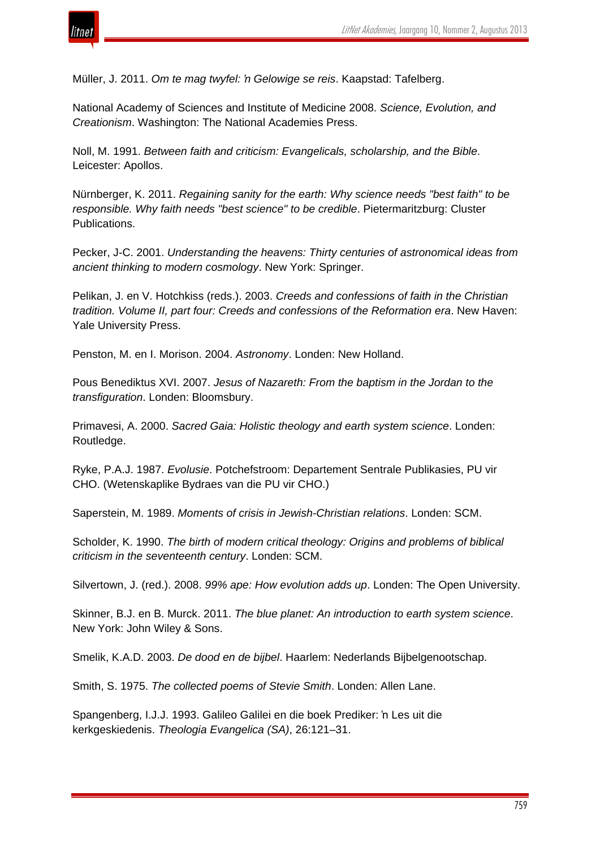

Müller, J. 2011. *Om te mag twyfel: 'n Gelowige se reis*. Kaapstad: Tafelberg.

National Academy of Sciences and Institute of Medicine 2008. *Science, Evolution, and Creationism*. Washington: The National Academies Press.

Noll, M. 1991. *Between faith and criticism: Evangelicals, scholarship, and the Bible*. Leicester: Apollos.

Nürnberger, K. 2011. *Regaining sanity for the earth: Why science needs "best faith" to be responsible. Why faith needs "best science" to be credible*. Pietermaritzburg: Cluster Publications.

Pecker, J-C. 2001. *Understanding the heavens: Thirty centuries of astronomical ideas from ancient thinking to modern cosmology*. New York: Springer.

Pelikan, J. en V. Hotchkiss (reds.). 2003. *Creeds and confessions of faith in the Christian tradition. Volume II, part four: Creeds and confessions of the Reformation era*. New Haven: Yale University Press.

Penston, M. en I. Morison. 2004. *Astronomy*. Londen: New Holland.

Pous Benediktus XVI. 2007. *Jesus of Nazareth: From the baptism in the Jordan to the transfiguration*. Londen: Bloomsbury.

Primavesi, A. 2000. *Sacred Gaia: Holistic theology and earth system science*. Londen: Routledge.

Ryke, P.A.J. 1987. *Evolusie*. Potchefstroom: Departement Sentrale Publikasies, PU vir CHO. (Wetenskaplike Bydraes van die PU vir CHO.)

Saperstein, M. 1989. *Moments of crisis in Jewish-Christian relations*. Londen: SCM.

Scholder, K. 1990. *The birth of modern critical theology: Origins and problems of biblical criticism in the seventeenth century*. Londen: SCM.

Silvertown, J. (red.). 2008. *99% ape: How evolution adds up*. Londen: The Open University.

Skinner, B.J. en B. Murck. 2011. *The blue planet: An introduction to earth system science*. New York: John Wiley & Sons.

Smelik, K.A.D. 2003. *De dood en de bijbel*. Haarlem: Nederlands Bijbelgenootschap.

Smith, S. 1975. *The collected poems of Stevie Smith*. Londen: Allen Lane.

Spangenberg, I.J.J. 1993. Galileo Galilei en die boek Prediker: 'n Les uit die kerkgeskiedenis. *Theologia Evangelica (SA)*, 26:121–31.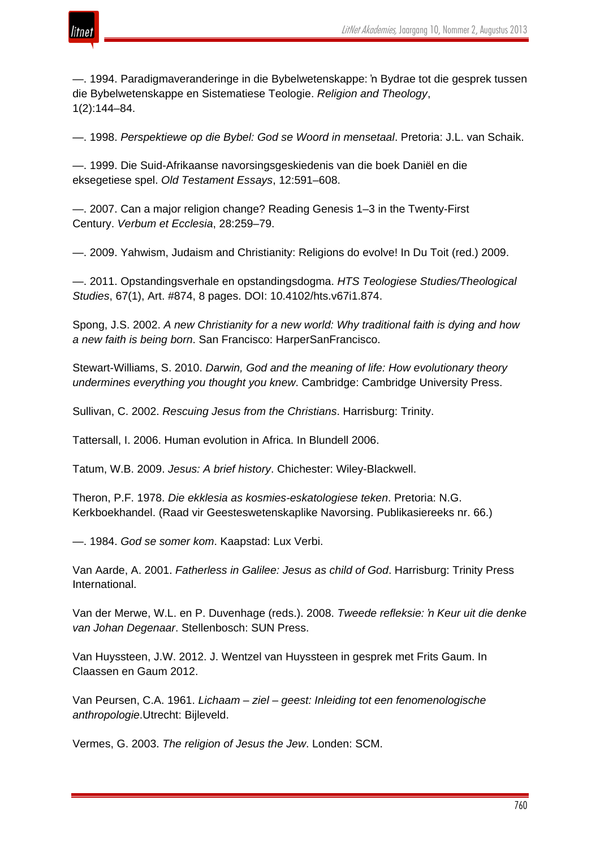

—. 1994. Paradigmaveranderinge in die Bybelwetenskappe: 'n Bydrae tot die gesprek tussen die Bybelwetenskappe en Sistematiese Teologie. *Religion and Theology*, 1(2):144–84.

—. 1998. *Perspektiewe op die Bybel: God se Woord in mensetaal*. Pretoria: J.L. van Schaik.

—. 1999. Die Suid-Afrikaanse navorsingsgeskiedenis van die boek Daniël en die eksegetiese spel. *Old Testament Essays*, 12:591–608.

—. 2007. Can a major religion change? Reading Genesis 1–3 in the Twenty-First Century. *Verbum et Ecclesia*, 28:259–79.

—. 2009. Yahwism, Judaism and Christianity: Religions do evolve! In Du Toit (red.) 2009.

—. 2011. Opstandingsverhale en opstandingsdogma. *HTS Teologiese Studies/Theological Studies*, 67(1), Art. #874, 8 pages. DOI: 10.4102/hts.v67i1.874.

Spong, J.S. 2002. *A new Christianity for a new world: Why traditional faith is dying and how a new faith is being born*. San Francisco: HarperSanFrancisco.

Stewart-Williams, S. 2010. *Darwin, God and the meaning of life: How evolutionary theory undermines everything you thought you knew*. Cambridge: Cambridge University Press.

Sullivan, C. 2002. *Rescuing Jesus from the Christians*. Harrisburg: Trinity.

Tattersall, I. 2006. Human evolution in Africa. In Blundell 2006.

Tatum, W.B. 2009. *Jesus: A brief history*. Chichester: Wiley-Blackwell.

Theron, P.F. 1978. *Die ekklesia as kosmies-eskatologiese teken*. Pretoria: N.G. Kerkboekhandel. (Raad vir Geesteswetenskaplike Navorsing. Publikasiereeks nr. 66.)

—. 1984. *God se somer kom*. Kaapstad: Lux Verbi.

Van Aarde, A. 2001. *Fatherless in Galilee: Jesus as child of God*. Harrisburg: Trinity Press International.

Van der Merwe, W.L. en P. Duvenhage (reds.). 2008. *Tweede refleksie: 'n Keur uit die denke van Johan Degenaar*. Stellenbosch: SUN Press.

Van Huyssteen, J.W. 2012. J. Wentzel van Huyssteen in gesprek met Frits Gaum. In Claassen en Gaum 2012.

Van Peursen, C.A. 1961. *Lichaam* – *ziel* – *geest: Inleiding tot een fenomenologische anthropologie*.Utrecht: Bijleveld.

Vermes, G. 2003. *The religion of Jesus the Jew*. Londen: SCM.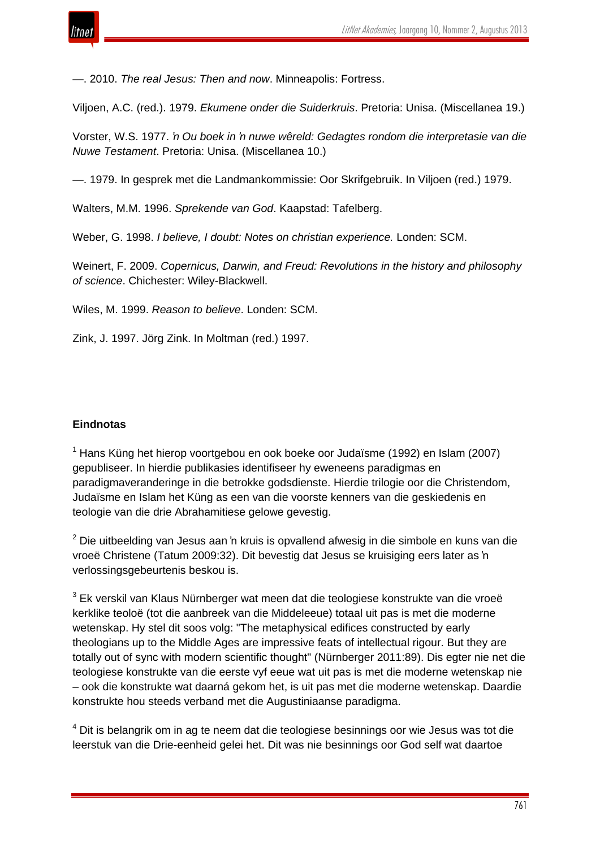

—. 2010. *The real Jesus: Then and now*. Minneapolis: Fortress.

Viljoen, A.C. (red.). 1979. *Ekumene onder die Suiderkruis*. Pretoria: Unisa. (Miscellanea 19.)

Vorster, W.S. 1977. *'n Ou boek in 'n nuwe wêreld: Gedagtes rondom die interpretasie van die Nuwe Testament*. Pretoria: Unisa. (Miscellanea 10.)

—. 1979. In gesprek met die Landmankommissie: Oor Skrifgebruik. In Viljoen (red.) 1979.

Walters, M.M. 1996. *Sprekende van God*. Kaapstad: Tafelberg.

Weber, G. 1998. *I believe, I doubt: Notes on christian experience.* Londen: SCM.

Weinert, F. 2009. *Copernicus, Darwin, and Freud: Revolutions in the history and philosophy of science*. Chichester: Wiley-Blackwell.

Wiles, M. 1999. *Reason to believe*. Londen: SCM.

Zink, J. 1997. Jörg Zink. In Moltman (red.) 1997.

## **Eindnotas**

 $1$  Hans Küng het hierop voortgebou en ook boeke oor Judaïsme (1992) en Islam (2007) gepubliseer. In hierdie publikasies identifiseer hy eweneens paradigmas en paradigmaveranderinge in die betrokke godsdienste. Hierdie trilogie oor die Christendom, Judaïsme en Islam het Küng as een van die voorste kenners van die geskiedenis en teologie van die drie Abrahamitiese gelowe gevestig.

 $2$  Die uitbeelding van Jesus aan 'n kruis is opvallend afwesig in die simbole en kuns van die vroeë Christene (Tatum 2009:32). Dit bevestig dat Jesus se kruisiging eers later as 'n verlossingsgebeurtenis beskou is.

 $3$  Ek verskil van Klaus Nürnberger wat meen dat die teologiese konstrukte van die vroeë kerklike teoloë (tot die aanbreek van die Middeleeue) totaal uit pas is met die moderne wetenskap. Hy stel dit soos volg: "The metaphysical edifices constructed by early theologians up to the Middle Ages are impressive feats of intellectual rigour. But they are totally out of sync with modern scientific thought" (Nürnberger 2011:89). Dis egter nie net die teologiese konstrukte van die eerste vyf eeue wat uit pas is met die moderne wetenskap nie – ook die konstrukte wat daarná gekom het, is uit pas met die moderne wetenskap. Daardie konstrukte hou steeds verband met die Augustiniaanse paradigma.

 $4$  Dit is belangrik om in ag te neem dat die teologiese besinnings oor wie Jesus was tot die leerstuk van die Drie-eenheid gelei het. Dit was nie besinnings oor God self wat daartoe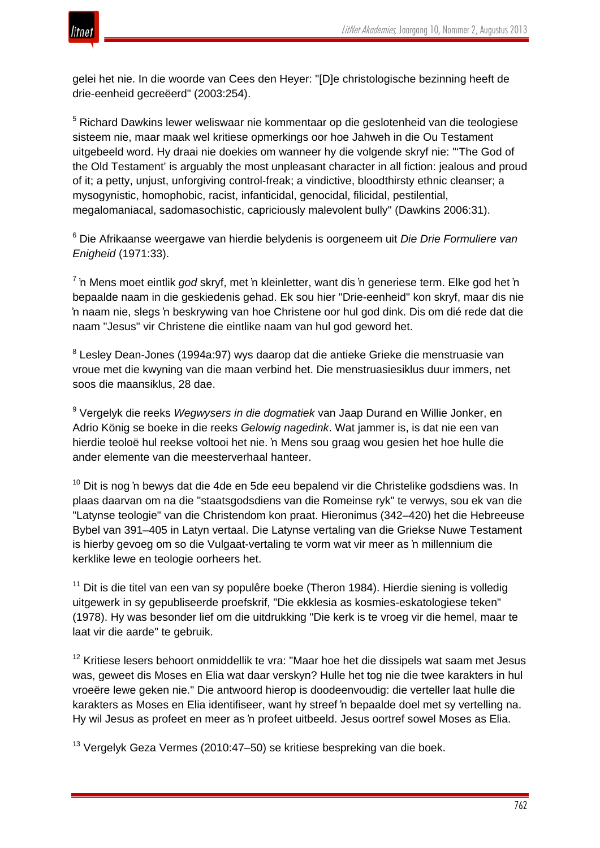

gelei het nie. In die woorde van Cees den Heyer: "[D]e christologische bezinning heeft de drie-eenheid gecreëerd" (2003:254).

<sup>5</sup> Richard Dawkins lewer weliswaar nie kommentaar op die geslotenheid van die teologiese sisteem nie, maar maak wel kritiese opmerkings oor hoe Jahweh in die Ou Testament uitgebeeld word. Hy draai nie doekies om wanneer hy die volgende skryf nie: "'The God of the Old Testament' is arguably the most unpleasant character in all fiction: jealous and proud of it; a petty, unjust, unforgiving control-freak; a vindictive, bloodthirsty ethnic cleanser; a mysogynistic, homophobic, racist, infanticidal, genocidal, filicidal, pestilential, megalomaniacal, sadomasochistic, capriciously malevolent bully" (Dawkins 2006:31).

<sup>6</sup> Die Afrikaanse weergawe van hierdie belydenis is oorgeneem uit *Die Drie Formuliere van Enigheid* (1971:33).

<sup>7</sup> 'n Mens moet eintlik *god* skryf, met 'n kleinletter, want dis 'n generiese term. Elke god het 'n bepaalde naam in die geskiedenis gehad. Ek sou hier "Drie-eenheid" kon skryf, maar dis nie 'n naam nie, slegs 'n beskrywing van hoe Christene oor hul god dink. Dis om dié rede dat die naam "Jesus" vir Christene die eintlike naam van hul god geword het.

<sup>8</sup> Lesley Dean-Jones (1994a:97) wys daarop dat die antieke Grieke die menstruasie van vroue met die kwyning van die maan verbind het. Die menstruasiesiklus duur immers, net soos die maansiklus, 28 dae.

<sup>9</sup> Vergelyk die reeks *Wegwysers in die dogmatiek* van Jaap Durand en Willie Jonker, en Adrio König se boeke in die reeks *Gelowig nagedink*. Wat jammer is, is dat nie een van hierdie teoloë hul reekse voltooi het nie. 'n Mens sou graag wou gesien het hoe hulle die ander elemente van die meesterverhaal hanteer.

 $10$  Dit is nog 'n bewys dat die 4de en 5de eeu bepalend vir die Christelike godsdiens was. In plaas daarvan om na die "staatsgodsdiens van die Romeinse ryk" te verwys, sou ek van die "Latynse teologie" van die Christendom kon praat. Hieronimus (342–420) het die Hebreeuse Bybel van 391–405 in Latyn vertaal. Die Latynse vertaling van die Griekse Nuwe Testament is hierby gevoeg om so die Vulgaat-vertaling te vorm wat vir meer as 'n millennium die kerklike lewe en teologie oorheers het.

 $11$  Dit is die titel van een van sy populêre boeke (Theron 1984). Hierdie siening is volledig uitgewerk in sy gepubliseerde proefskrif, "Die ekklesia as kosmies-eskatologiese teken" (1978). Hy was besonder lief om die uitdrukking "Die kerk is te vroeg vir die hemel, maar te laat vir die aarde" te gebruik.

<sup>12</sup> Kritiese lesers behoort onmiddellik te vra: "Maar hoe het die dissipels wat saam met Jesus was, geweet dis Moses en Elia wat daar verskyn? Hulle het tog nie die twee karakters in hul vroeëre lewe geken nie." Die antwoord hierop is doodeenvoudig: die verteller laat hulle die karakters as Moses en Elia identifiseer, want hy streef 'n bepaalde doel met sy vertelling na. Hy wil Jesus as profeet en meer as 'n profeet uitbeeld. Jesus oortref sowel Moses as Elia.

<sup>13</sup> Vergelyk Geza Vermes (2010:47–50) se kritiese bespreking van die boek.